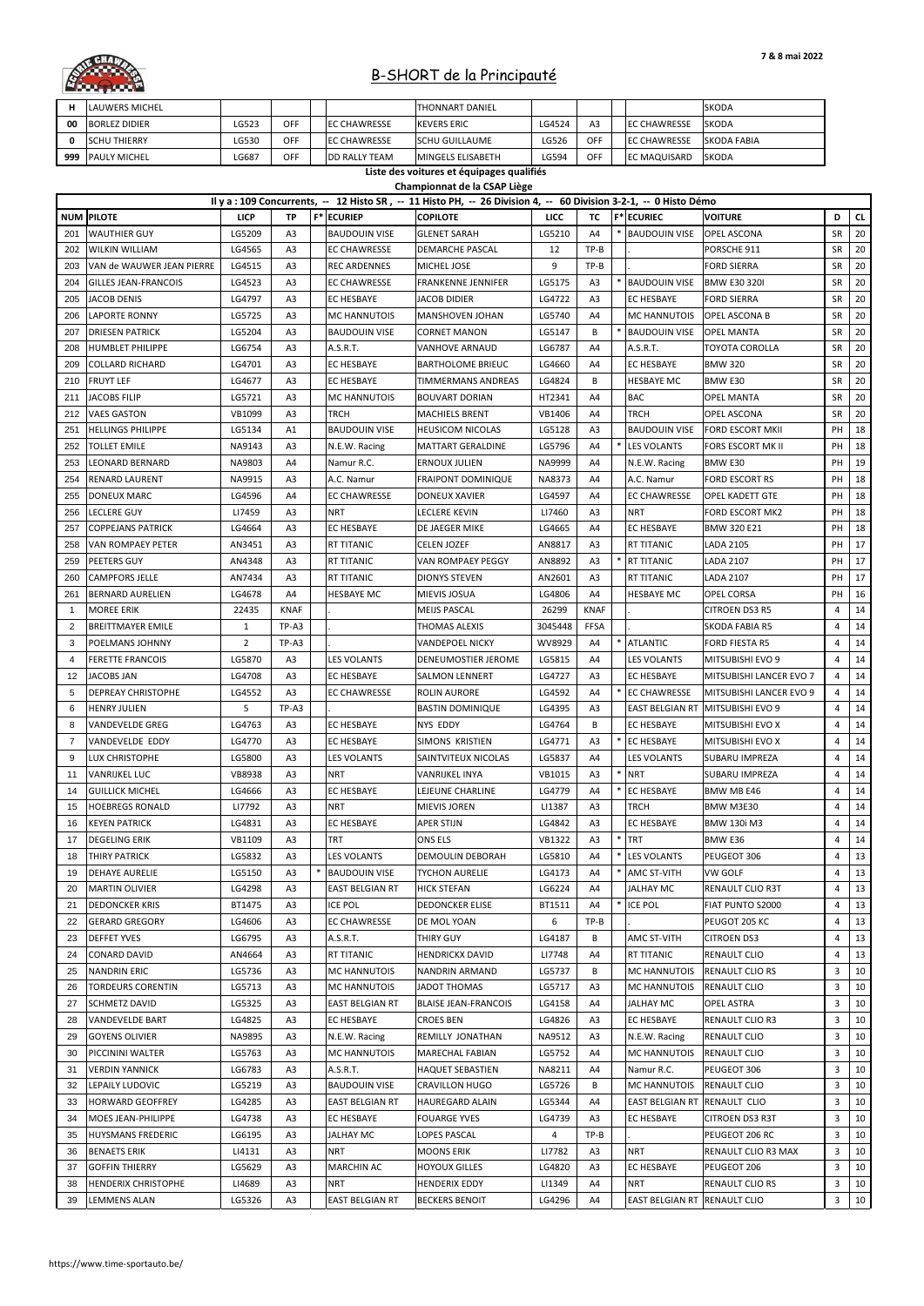| Н        | <b>LAUWERS MICHEL</b>                            |                  |                                  |                                 | <b>THONNART DANIEL</b>                                                                                                               |                  |                                  |        |                                     | <b>SKODA</b>                          |           |            |
|----------|--------------------------------------------------|------------------|----------------------------------|---------------------------------|--------------------------------------------------------------------------------------------------------------------------------------|------------------|----------------------------------|--------|-------------------------------------|---------------------------------------|-----------|------------|
| 00       | <b>BORLEZ DIDIER</b>                             | LG523            | <b>OFF</b>                       | <b>EC CHAWRESSE</b>             | <b>KEVERS ERIC</b>                                                                                                                   | LG4524           | A <sub>3</sub>                   |        | <b>EC CHAWRESSE</b>                 | <b>SKODA</b>                          |           |            |
| 0        | <b>SCHU THIERRY</b>                              | LG530            | <b>OFF</b>                       | <b>EC CHAWRESSE</b>             | <b>SCHU GUILLAUME</b>                                                                                                                | LG526            | <b>OFF</b>                       |        | <b>EC CHAWRESSE</b>                 | <b>SKODA FABIA</b>                    |           |            |
| 999      | <b>PAULY MICHEL</b>                              | LG687            | <b>OFF</b>                       | <b>DD RALLY TEAM</b>            | MINGELS ELISABETH                                                                                                                    | LG594            | <b>OFF</b>                       |        | <b>EC MAQUISARD</b>                 | <b>SKODA</b>                          |           |            |
|          |                                                  |                  |                                  |                                 | Liste des voitures et équipages qualifiés                                                                                            |                  |                                  |        |                                     |                                       |           |            |
|          |                                                  |                  |                                  |                                 | Championnat de la CSAP Liège                                                                                                         |                  |                                  |        |                                     |                                       |           |            |
|          | <b>NUM PILOTE</b>                                | <b>LICP</b>      | <b>TP</b>                        | F* ECURIEP                      | Il y a : 109 Concurrents, -- 12 Histo SR, -- 11 Histo PH, -- 26 Division 4, -- 60 Division 3-2-1, -- 0 Histo Démo<br><b>COPILOTE</b> | <b>LICC</b>      | <b>TC</b>                        |        | <b>F*</b> ECURIEC                   | <b>VOITURE</b>                        | D         | CL         |
| 201      | <b>WAUTHIER GUY</b>                              | LG5209           | A3                               | <b>BAUDOUIN VISE</b>            | <b>GLENET SARAH</b>                                                                                                                  | LG5210           | A <sub>4</sub>                   |        | <b>BAUDOUIN VISE</b>                | <b>OPEL ASCONA</b>                    | SR        | 20         |
| 202      | <b>WILKIN WILLIAM</b>                            | LG4565           | A3                               | <b>EC CHAWRESSE</b>             | <b>DEMARCHE PASCAL</b>                                                                                                               | 12               | $TP-B$                           |        |                                     | PORSCHE 911                           | SR        | 20         |
| 203      | VAN de WAUWER JEAN PIERRE                        | LG4515           | A3                               | <b>REC ARDENNES</b>             | MICHEL JOSE                                                                                                                          | 9                | $TP-B$                           |        |                                     | <b>FORD SIERRA</b>                    | SR        | 20         |
| 204      | <b>GILLES JEAN-FRANCOIS</b>                      | LG4523           | A3                               | <b>EC CHAWRESSE</b>             | <b>FRANKENNE JENNIFER</b>                                                                                                            | LG5175           | A <sub>3</sub>                   |        | <b>BAUDOUIN VISE</b>                | <b>BMW E30 320I</b>                   | SR        | 20         |
| 205      | JACOB DENIS                                      | LG4797           | A3                               | <b>EC HESBAYE</b>               | <b>JACOB DIDIER</b>                                                                                                                  | LG4722           | A3                               |        | <b>EC HESBAYE</b>                   | <b>FORD SIERRA</b>                    | SR        | 20         |
| 206      | <b>LAPORTE RONNY</b>                             | LG5725           | A <sub>3</sub>                   | <b>MC HANNUTOIS</b>             | <b>MANSHOVEN JOHAN</b>                                                                                                               | LG5740           | A4                               |        | <b>MC HANNUTOIS</b>                 | <b>OPEL ASCONA B</b>                  | SR        | 20         |
| 207      | <b>DRIESEN PATRICK</b>                           | LG5204           | A3                               | <b>BAUDOUIN VISE</b>            | <b>CORNET MANON</b>                                                                                                                  | LG5147           | B                                |        | <b>BAUDOUIN VISE</b>                | <b>OPEL MANTA</b>                     | SR        | 20         |
| 208      | <b>HUMBLET PHILIPPE</b>                          | LG6754           | A3                               | A.S.R.T.                        | <b>VANHOVE ARNAUD</b>                                                                                                                | LG6787           | A4                               |        | A.S.R.T.                            | <b>TOYOTA COROLLA</b>                 | <b>SR</b> | 20         |
| 209      | <b>COLLARD RICHARD</b>                           | LG4701           | A3                               | <b>EC HESBAYE</b>               | <b>BARTHOLOME BRIEUC</b>                                                                                                             | LG4660           | A4                               |        | <b>EC HESBAYE</b>                   | <b>BMW 320</b>                        | <b>SR</b> | 20         |
| 210      | <b>FRUYT LEF</b>                                 | LG4677           | A <sub>3</sub>                   | <b>EC HESBAYE</b>               | <b>TIMMERMANS ANDREAS</b>                                                                                                            | LG4824           | B                                |        | <b>HESBAYE MC</b>                   | BMW E30                               | <b>SR</b> | 20         |
| 211      | JACOBS FILIP                                     | LG5721           | A3                               | <b>MC HANNUTOIS</b>             | <b>BOUVART DORIAN</b>                                                                                                                | HT2341           | A4                               |        | <b>BAC</b>                          | <b>OPEL MANTA</b>                     | <b>SR</b> | 20         |
| 212      | <b>VAES GASTON</b>                               | VB1099           | A <sub>3</sub>                   | <b>TRCH</b>                     | <b>MACHIELS BRENT</b>                                                                                                                | VB1406           | A4                               |        | <b>TRCH</b>                         | <b>OPEL ASCONA</b>                    | <b>SR</b> | 20         |
| 251      | <b>HELLINGS PHILIPPE</b>                         | LG5134           | A1                               | <b>BAUDOUIN VISE</b>            | <b>HEUSICOM NICOLAS</b>                                                                                                              | LG5128           | A3                               |        | <b>BAUDOUIN VISE</b>                | <b>FORD ESCORT MKII</b>               | PH        | 18         |
| 252      | <b>TOLLET EMILE</b>                              | NA9143           | A3                               | N.E.W. Racing                   | <b>MATTART GERALDINE</b>                                                                                                             | LG5796           | A4                               | $\ast$ | <b>LES VOLANTS</b>                  | <b>FORS ESCORT MK II</b>              | PH        | 18         |
| 253      | <b>LEONARD BERNARD</b>                           | NA9803           | A4                               | Namur R.C.                      | <b>ERNOUX JULIEN</b>                                                                                                                 | NA9999           | A4                               |        | N.E.W. Racing                       | <b>BMW E30</b>                        | PH        | 19         |
| 254      | <b>RENARD LAURENT</b>                            | NA9915           | A3                               | A.C. Namur                      | <b>FRAIPONT DOMINIQUE</b>                                                                                                            | NA8373           | A4                               |        | A.C. Namur                          | <b>FORD ESCORT RS</b>                 | PH        | 18         |
| 255      | <b>DONEUX MARC</b>                               | LG4596           | A4                               | <b>EC CHAWRESSE</b>             | <b>DONEUX XAVIER</b>                                                                                                                 | LG4597           | A4                               |        | <b>EC CHAWRESSE</b>                 | <b>OPEL KADETT GTE</b>                | PH        | 18         |
|          | 256  LECLERE GUY                                 | LI7459           | A <sub>3</sub>                   | <b>NRT</b>                      | <b>LECLERE KEVIN</b>                                                                                                                 | LI7460           | A3                               |        | <b>NRT</b>                          | <b>FORD ESCORT MK2</b>                | PH        | $\vert$ 18 |
| 257      | <b>COPPEJANS PATRICK</b>                         | LG4664           | A <sub>3</sub>                   | <b>EC HESBAYE</b>               | DE JAEGER MIKE                                                                                                                       | LG4665           | A4                               |        | <b>EC HESBAYE</b>                   | <b>BMW 320 E21</b>                    | PH        | 18         |
| 258      | <b>VAN ROMPAEY PETER</b>                         | AN3451           | A <sub>3</sub>                   | <b>RT TITANIC</b>               | <b>CELEN JOZEF</b>                                                                                                                   | AN8817           | A <sub>3</sub>                   |        | <b>RT TITANIC</b>                   | <b>LADA 2105</b>                      | PH        | 17         |
| 259      | <b>PEETERS GUY</b>                               | AN4348           | A <sub>3</sub>                   | <b>RT TITANIC</b>               | <b>VAN ROMPAEY PEGGY</b>                                                                                                             | AN8892           | A <sub>3</sub>                   |        | <b>RT TITANIC</b>                   | <b>LADA 2107</b>                      | PH        | 17         |
| 260      | <b>CAMPFORS JELLE</b>                            | AN7434           | A <sub>3</sub>                   | <b>RT TITANIC</b>               | <b>DIONYS STEVEN</b>                                                                                                                 | AN2601           | A <sub>3</sub>                   |        | <b>RT TITANIC</b>                   | <b>LADA 2107</b>                      | PH        | 17         |
| 261      | <b>BERNARD AURELIEN</b>                          | LG4678           | A4                               | <b>HESBAYE MC</b>               | MIEVIS JOSUA                                                                                                                         | LG4806           | A4                               |        | <b>HESBAYE MC</b>                   | <b>OPEL CORSA</b>                     | PH        | 16         |
|          | <b>MOREE ERIK</b>                                | 22435            | <b>KNAF</b>                      |                                 | <b>MEIJS PASCAL</b>                                                                                                                  | 26299            | <b>KNAF</b>                      |        |                                     | <b>CITROEN DS3 R5</b>                 | 4         | 14         |
| 2        | <b>BREITTMAYER EMILE</b>                         | $\mathbf{1}$     | TP-A3                            |                                 | <b>THOMAS ALEXIS</b>                                                                                                                 | 3045448          | <b>FFSA</b>                      |        |                                     | <b>SKODA FABIA R5</b>                 | 4         | 14         |
| 3        | <b>POELMANS JOHNNY</b>                           | $\overline{2}$   | TP-A3                            |                                 | <b>VANDEPOEL NICKY</b>                                                                                                               | WV8929           | A4                               |        | * ATLANTIC                          | <b>FORD FIESTA R5</b>                 | 4         | 14         |
| 4        | <b>FERETTE FRANCOIS</b>                          | LG5870           | A <sub>3</sub>                   | <b>LES VOLANTS</b>              | <b>DENEUMOSTIER JEROME</b>                                                                                                           | LG5815           | A4                               |        | <b>LES VOLANTS</b>                  | MITSUBISHI EVO 9                      | 4         | 14         |
| 12       | JACOBS JAN                                       | LG4708           | A3                               | <b>EC HESBAYE</b>               | <b>SALMON LENNERT</b>                                                                                                                | LG4727           | A <sub>3</sub>                   |        | <b>EC HESBAYE</b>                   | MITSUBISHI LANCER EVO 7               | 4         | 14         |
| 5        | <b>DEPREAY CHRISTOPHE</b>                        | LG4552           | A3                               | <b>EC CHAWRESSE</b>             | <b>ROLIN AURORE</b>                                                                                                                  | LG4592           | A4                               |        | <b>EC CHAWRESSE</b>                 | MITSUBISHI LANCER EVO 9               | Δ         | 14         |
| 6        | <b>HENRY JULIEN</b>                              | 5                | TP-A3                            |                                 | <b>BASTIN DOMINIQUE</b>                                                                                                              | LG4395           | A3                               |        | <b>EAST BELGIAN RT</b>              | MITSUBISHI EVO 9                      | 4         | 14         |
| 8        | <b>VANDEVELDE GREG</b>                           | LG4763           | A3                               | <b>EC HESBAYE</b>               | NYS EDDY                                                                                                                             | LG4764           | B                                |        | <b>EC HESBAYE</b>                   | <b>MITSUBISHI EVO X</b>               | 4         | 14         |
|          | <b>VANDEVELDE EDDY</b>                           | LG4770           | A3                               | <b>EC HESBAYE</b>               | <b>SIMONS KRISTIEN</b>                                                                                                               | LG4771           | A <sub>3</sub>                   |        | <b>EC HESBAYE</b>                   | <b>MITSUBISHI EVO X</b>               | 4         | 14         |
| 9        | LUX CHRISTOPHE                                   | LG5800           | A <sub>3</sub>                   | <b>LES VOLANTS</b>              | SAINTVITEUX NICOLAS                                                                                                                  | LG5837           | A4                               | $\ast$ | <b>LES VOLANTS</b>                  | <b>SUBARU IMPREZA</b>                 | 4         | 14         |
| 11       | <b>VANRIJKEL LUC</b>                             | <b>VB8938</b>    | A <sub>3</sub>                   | <b>NRT</b>                      | <b>VANRIJKEL INYA</b>                                                                                                                | VB1015           | A <sub>3</sub>                   |        | <b>NRT</b><br><b>EC HESBAYE</b>     | <b>SUBARU IMPREZA</b>                 | 4         | 14         |
| 14<br>15 | <b>GUILLICK MICHEL</b><br><b>HOEBREGS RONALD</b> | LG4666<br>LI7792 | A <sub>3</sub><br>A <sub>3</sub> | <b>EC HESBAYE</b><br><b>NRT</b> | LEJEUNE CHARLINE<br><b>MIEVIS JOREN</b>                                                                                              | LG4779<br>LI1387 | A <sub>4</sub><br>A <sub>3</sub> |        | <b>TRCH</b>                         | <b>BMW MB E46</b><br><b>BMW M3E30</b> | 4<br>4    | 14<br>14   |
| 16       | <b>KEYEN PATRICK</b>                             | LG4831           | A <sub>3</sub>                   | <b>EC HESBAYE</b>               | <b>APER STIJN</b>                                                                                                                    | LG4842           | A <sub>3</sub>                   |        | <b>EC HESBAYE</b>                   | <b>BMW 130i M3</b>                    | 4         | 14         |
| 17       | <b>DEGELING ERIK</b>                             | VB1109           | A <sub>3</sub>                   | <b>TRT</b>                      | <b>ONS ELS</b>                                                                                                                       | <b>VB1322</b>    | A <sub>3</sub>                   |        | <b>TRT</b>                          | <b>BMW E36</b>                        | 4         | 14         |
| 18       | <b>THIRY PATRICK</b>                             | LG5832           | A <sub>3</sub>                   | <b>LES VOLANTS</b>              | <b>DEMOULIN DEBORAH</b>                                                                                                              | LG5810           | A <sub>4</sub>                   |        | <b>LES VOLANTS</b>                  | PEUGEOT 306                           | 4         | 13         |
| 19       | <b>DEHAYE AURELIE</b>                            | LG5150           | A <sub>3</sub>                   | <b>BAUDOUIN VISE</b>            | <b>TYCHON AURELIE</b>                                                                                                                | LG4173           | A4                               |        | <b>AMC ST-VITH</b>                  | <b>VW GOLF</b>                        | 4         | 13         |
| 20       | <b>MARTIN OLIVIER</b>                            | LG4298           | A <sub>3</sub>                   | <b>EAST BELGIAN RT</b>          | <b>HICK STEFAN</b>                                                                                                                   | LG6224           | A4                               |        | <b>JALHAY MC</b>                    | <b>RENAULT CLIO R3T</b>               | 4         | 13         |
| 21       | <b>DEDONCKER KRIS</b>                            | BT1475           | A <sub>3</sub>                   | <b>ICE POL</b>                  | <b>DEDONCKER ELISE</b>                                                                                                               | BT1511           | A4                               |        | * ICE POL                           | FIAT PUNTO S2000                      | 4         | 13         |
| 22       | <b>GERARD GREGORY</b>                            | LG4606           | A3                               | <b>EC CHAWRESSE</b>             | DE MOL YOAN                                                                                                                          | 6 <sup>1</sup>   | $TP-B$                           |        |                                     | PEUGOT 205 KC                         | 4         | 13         |
| 23       | <b>DEFFET YVES</b>                               | LG6795           | A <sub>3</sub>                   | A.S.R.T.                        | <b>THIRY GUY</b>                                                                                                                     | LG4187           | B                                |        | <b>AMC ST-VITH</b>                  | <b>CITROEN DS3</b>                    | 4         | 13         |
| 24       | <b>CONARD DAVID</b>                              | AN4664           | A <sub>3</sub>                   | <b>RT TITANIC</b>               | <b>HENDRICKX DAVID</b>                                                                                                               | LI7748           | A4                               |        | <b>RT TITANIC</b>                   | <b>RENAULT CLIO</b>                   | 4         | 13         |
| 25       | <b>NANDRIN ERIC</b>                              | LG5736           | A3                               | <b>MC HANNUTOIS</b>             | NANDRIN ARMAND                                                                                                                       | LG5737           | B                                |        | <b>MC HANNUTOIS</b>                 | <b>RENAULT CLIO RS</b>                | 3         | 10         |
| 26       | TORDEURS CORENTIN                                | LG5713           | A3                               | <b>MC HANNUTOIS</b>             | <b>JADOT THOMAS</b>                                                                                                                  | LG5717           | A3                               |        | <b>MC HANNUTOIS</b>                 | <b>RENAULT CLIO</b>                   | 3         | 10         |
| 27       | <b>SCHMETZ DAVID</b>                             | LG5325           | A3                               | <b>EAST BELGIAN RT</b>          | <b>BLAISE JEAN-FRANCOIS</b>                                                                                                          | LG4158           | A4                               |        | <b>JALHAY MC</b>                    | <b>OPEL ASTRA</b>                     | 3         | 10         |
| 28       | <b>VANDEVELDE BART</b>                           | LG4825           | A <sub>3</sub>                   | <b>EC HESBAYE</b>               | <b>CROES BEN</b>                                                                                                                     | LG4826           | A <sub>3</sub>                   |        | <b>EC HESBAYE</b>                   | <b>RENAULT CLIO R3</b>                | 3         | 10         |
| 29       | <b>GOYENS OLIVIER</b>                            | <b>NA9895</b>    | A3                               | N.E.W. Racing                   | REMILLY JONATHAN                                                                                                                     | NA9512           | A <sub>3</sub>                   |        | N.E.W. Racing                       | <b>RENAULT CLIO</b>                   | 3         | 10         |
| 30       | <b>PICCININI WALTER</b>                          | LG5763           | A <sub>3</sub>                   | <b>MC HANNUTOIS</b>             | <b>MARECHAL FABIAN</b>                                                                                                               | LG5752           | A4                               |        | <b>MC HANNUTOIS</b>                 | <b>RENAULT CLIO</b>                   | 3         | 10         |
| 31       | <b>VERDIN YANNICK</b>                            | LG6783           | A3                               | A.S.R.T.                        | <b>HAQUET SEBASTIEN</b>                                                                                                              | NA8211           | A4                               |        | Namur R.C.                          | PEUGEOT 306                           | 3         | 10         |
| 32       | LEPAILY LUDOVIC                                  | LG5219           | A <sub>3</sub>                   | <b>BAUDOUIN VISE</b>            | <b>CRAVILLON HUGO</b>                                                                                                                | LG5726           | B                                |        | MC HANNUTOIS                        | <b>RENAULT CLIO</b>                   | 3         | 10         |
| 33       | <b>HORWARD GEOFFREY</b>                          | LG4285           | A3                               | <b>EAST BELGIAN RT</b>          | <b>HAUREGARD ALAIN</b>                                                                                                               | LG5344           | A4                               |        | <b>EAST BELGIAN RT RENAULT CLIO</b> |                                       | 3         | 10         |
| 34       | <b>MOES JEAN-PHILIPPE</b>                        | LG4738           | A3                               | <b>EC HESBAYE</b>               | <b>FOUARGE YVES</b>                                                                                                                  | LG4739           | A <sub>3</sub>                   |        | <b>EC HESBAYE</b>                   | <b>CITROEN DS3 R3T</b>                | 3         | 10         |
| 35       | <b>HUYSMANS FREDERIC</b>                         | LG6195           | A <sub>3</sub>                   | <b>JALHAY MC</b>                | <b>LOPES PASCAL</b>                                                                                                                  | 4                | $TP-B$                           |        |                                     | PEUGEOT 206 RC                        | 3         | 10         |
| 36       | <b>BENAETS ERIK</b>                              | LI4131           | A <sub>3</sub>                   | <b>NRT</b>                      | <b>MOONS ERIK</b>                                                                                                                    | LI7782           | A <sub>3</sub>                   |        | <b>NRT</b>                          | <b>RENAULT CLIO R3 MAX</b>            | 3         | 10         |
| 37       | <b>GOFFIN THIERRY</b>                            | LG5629           | A <sub>3</sub>                   | <b>MARCHIN AC</b>               | <b>HOYOUX GILLES</b>                                                                                                                 | LG4820           | A3                               |        | <b>EC HESBAYE</b>                   | PEUGEOT 206                           | 3         | 10         |
| 38       | <b>HENDERIX CHRISTOPHE</b>                       | LI4689           | A <sub>3</sub>                   | <b>NRT</b>                      | <b>HENDERIX EDDY</b>                                                                                                                 | LI1349           | A4                               |        | <b>NRT</b>                          | <b>RENAULT CLIO RS</b>                | 3         | 10         |
| 39       | <b>LEMMENS ALAN</b>                              | LG5326           | A <sub>3</sub>                   | <b>EAST BELGIAN RT</b>          | <b>BECKERS BENOIT</b>                                                                                                                | LG4296           | A4                               |        | EAST BELGIAN RT RENAULT CLIO        |                                       | 3         | 10         |

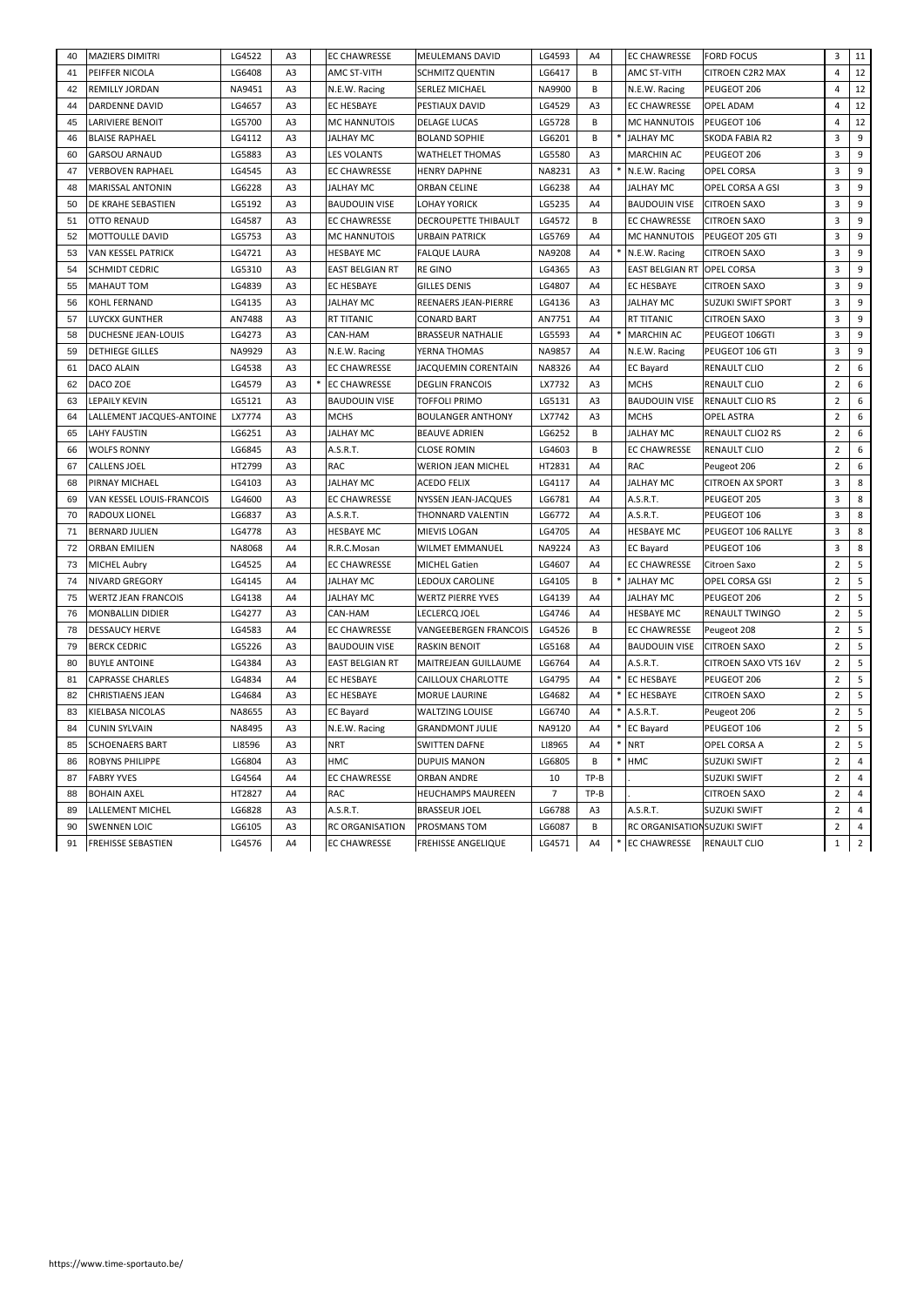| 40 | <b>MAZIERS DIMITRI</b>           | LG4522        | A <sub>3</sub> | <b>EC CHAWRESSE</b>    | <b>MEULEMANS DAVID</b>       | LG4593         | A4             |        | <b>EC CHAWRESSE</b>          | <b>FORD FOCUS</b>           | $\mathbf{3}$   | 11 |
|----|----------------------------------|---------------|----------------|------------------------|------------------------------|----------------|----------------|--------|------------------------------|-----------------------------|----------------|----|
| 41 | <b>PEIFFER NICOLA</b>            | LG6408        | A <sub>3</sub> | <b>AMC ST-VITH</b>     | <b>SCHMITZ QUENTIN</b>       | LG6417         | B              |        | <b>AMC ST-VITH</b>           | <b>CITROEN C2R2 MAX</b>     | Δ              | 12 |
| 42 | <b>REMILLY JORDAN</b>            | NA9451        | A3             | N.E.W. Racing          | <b>SERLEZ MICHAEL</b>        | NA9900         | B              |        | N.E.W. Racing                | PEUGEOT 206                 | 4              | 12 |
| 44 | <b>DARDENNE DAVID</b>            | LG4657        | A <sub>3</sub> | <b>EC HESBAYE</b>      | PESTIAUX DAVID               | LG4529         | A3             |        | <b>EC CHAWRESSE</b>          | <b>OPEL ADAM</b>            | Δ              | 12 |
| 45 | <b>LARIVIERE BENOIT</b>          | LG5700        | A <sub>3</sub> | <b>MC HANNUTOIS</b>    | <b>DELAGE LUCAS</b>          | LG5728         | B              |        | <b>MC HANNUTOIS</b>          | PEUGEOT 106                 | 4              | 12 |
| 46 | <b>BLAISE RAPHAEL</b>            | LG4112        | A <sub>3</sub> | <b>JALHAY MC</b>       | <b>BOLAND SOPHIE</b>         | LG6201         | B              |        | <b>JALHAY MC</b>             | <b>SKODA FABIA R2</b>       | 3              | 9  |
| 60 | <b>GARSOU ARNAUD</b>             | LG5883        | A3             | <b>LES VOLANTS</b>     | <b>WATHELET THOMAS</b>       | LG5580         | A <sub>3</sub> |        | <b>MARCHIN AC</b>            | PEUGEOT 206                 | 3              | 9  |
| 47 | <b>VERBOVEN RAPHAEL</b>          | LG4545        | A <sub>3</sub> | <b>EC CHAWRESSE</b>    | <b>HENRY DAPHNE</b>          | NA8231         | A <sub>3</sub> | $\ast$ | N.E.W. Racing                | <b>OPEL CORSA</b>           | 3              | 9  |
| 48 | <b>MARISSAL ANTONIN</b>          | LG6228        | A <sub>3</sub> | <b>JALHAY MC</b>       | <b>ORBAN CELINE</b>          | LG6238         | A4             |        | <b>JALHAY MC</b>             | OPEL CORSA A GSI            | 3              | 9  |
| 50 | <b>DE KRAHE SEBASTIEN</b>        | LG5192        | A3             | <b>BAUDOUIN VISE</b>   | <b>LOHAY YORICK</b>          | LG5235         | A4             |        | <b>BAUDOUIN VISE</b>         | <b>CITROEN SAXO</b>         | 3              | 9  |
| 51 | <b>OTTO RENAUD</b>               | LG4587        | A3             | <b>EC CHAWRESSE</b>    | <b>DECROUPETTE THIBAULT</b>  | LG4572         | B              |        | <b>EC CHAWRESSE</b>          | <b>CITROEN SAXO</b>         | 3              | 9  |
| 52 | <b>MOTTOULLE DAVID</b>           | LG5753        | A3             | <b>MC HANNUTOIS</b>    | <b>URBAIN PATRICK</b>        | LG5769         | A4             |        | <b>MC HANNUTOIS</b>          | PEUGEOT 205 GTI             | 3              | 9  |
| 53 | <b>VAN KESSEL PATRICK</b>        | LG4721        | A3             | <b>HESBAYE MC</b>      | <b>FALQUE LAURA</b>          | NA9208         | A4             | $\ast$ | N.E.W. Racing                | <b>CITROEN SAXO</b>         | 3              | 9  |
| 54 | <b>SCHMIDT CEDRIC</b>            | LG5310        | A3             | <b>EAST BELGIAN RT</b> | <b>RE GINO</b>               | LG4365         | A <sub>3</sub> |        | <b>EAST BELGIAN RT</b>       | <b>OPEL CORSA</b>           | 3              | 9  |
| 55 | <b>MAHAUT TOM</b>                | LG4839        | A3             | <b>EC HESBAYE</b>      | <b>GILLES DENIS</b>          | LG4807         | A4             |        | <b>EC HESBAYE</b>            | <b>CITROEN SAXO</b>         | 3              |    |
| 56 | <b>KOHL FERNAND</b>              | LG4135        | A <sub>3</sub> | <b>JALHAY MC</b>       | <b>REENAERS JEAN-PIERRE</b>  | LG4136         | A <sub>3</sub> |        | <b>JALHAY MC</b>             | <b>SUZUKI SWIFT SPORT</b>   | 3              |    |
| 57 | <b>LUYCKX GUNTHER</b>            | AN7488        | A <sub>3</sub> | <b>RT TITANIC</b>      | <b>CONARD BART</b>           | AN7751         | A4             |        | <b>RT TITANIC</b>            | <b>CITROEN SAXO</b>         | 3              |    |
| 58 | <b>DUCHESNE JEAN-LOUIS</b>       | LG4273        | A <sub>3</sub> | <b>CAN-HAM</b>         | <b>BRASSEUR NATHALIE</b>     | LG5593         | A <sub>4</sub> |        | <b>MARCHIN AC</b>            | PEUGEOT 106GTI              | 3              | 9  |
| 59 | <b>DETHIEGE GILLES</b>           | NA9929        | A3             | N.E.W. Racing          | YERNA THOMAS                 | <b>NA9857</b>  | A4             |        | N.E.W. Racing                | PEUGEOT 106 GTI             | 3              | 9  |
| 61 | <b>DACO ALAIN</b>                | LG4538        | A3             | <b>EC CHAWRESSE</b>    | JACQUEMIN CORENTAIN          | NA8326         | A4             |        | <b>EC Bayard</b>             | <b>RENAULT CLIO</b>         | $\overline{2}$ | 6  |
| 62 | DACO ZOE                         | LG4579        | A3             | <b>EC CHAWRESSE</b>    | <b>DEGLIN FRANCOIS</b>       | LX7732         | A <sub>3</sub> |        | <b>MCHS</b>                  | <b>RENAULT CLIO</b>         | $\overline{2}$ | 6  |
| 63 | <b>LEPAILY KEVIN</b>             | LG5121        | A3             | <b>BAUDOUIN VISE</b>   | <b>TOFFOLI PRIMO</b>         | LG5131         | A3             |        | <b>BAUDOUIN VISE</b>         | <b>RENAULT CLIO RS</b>      | $\overline{2}$ | 6  |
| 64 | LALLEMENT JACQUES-ANTOINE        | LX7774        | A3             | <b>MCHS</b>            | <b>BOULANGER ANTHONY</b>     | LX7742         | A3             |        | <b>MCHS</b>                  | <b>OPEL ASTRA</b>           | $\overline{2}$ | 6  |
| 65 | <b>LAHY FAUSTIN</b>              | LG6251        | A <sub>3</sub> | <b>JALHAY MC</b>       | <b>BEAUVE ADRIEN</b>         | LG6252         | B              |        | <b>JALHAY MC</b>             | <b>RENAULT CLIO2 RS</b>     | $\overline{2}$ | 6  |
| 66 | <b>IWOLFS RONNY</b>              | LG6845        | A3             | A.S.R.T.               | <b>CLOSE ROMIN</b>           | LG4603         | в              |        | <b>EC CHAWRESSE</b>          | <b>RENAULT CLIO</b>         | $\overline{2}$ | 6  |
| 67 | <b>CALLENS JOEL</b>              | HT2799        | A <sub>3</sub> | <b>RAC</b>             | <b>WERION JEAN MICHEL</b>    | HT2831         | A4             |        | <b>RAC</b>                   | Peugeot 206                 | $\overline{2}$ |    |
| 68 | <b>PIRNAY MICHAEL</b>            | LG4103        | A <sub>3</sub> | <b>JALHAY MC</b>       | <b>ACEDO FELIX</b>           | LG4117         | A4             |        | <b>JALHAY MC</b>             | <b>CITROEN AX SPORT</b>     | 3              |    |
| 69 | <b>VAN KESSEL LOUIS-FRANCOIS</b> | LG4600        | A <sub>3</sub> | <b>EC CHAWRESSE</b>    | <b>NYSSEN JEAN-JACQUES</b>   | LG6781         | A4             |        | A.S.R.T.                     | PEUGEOT 205                 | 3              |    |
| 70 | <b>RADOUX LIONEL</b>             | LG6837        | A3             | A.S.R.T.               | THONNARD VALENTIN            | LG6772         | A4             |        | A.S.R.T.                     | PEUGEOT 106                 | 3              |    |
| 71 | <b>BERNARD JULIEN</b>            | LG4778        | A <sub>3</sub> | <b>HESBAYE MC</b>      | MIEVIS LOGAN                 | LG4705         | A4             |        | <b>HESBAYE MC</b>            | PEUGEOT 106 RALLYE          | 3              |    |
| 72 | <b>ORBAN EMILIEN</b>             | <b>NA8068</b> | A4             | R.R.C.Mosan            | <b>WILMET EMMANUEL</b>       | <b>NA9224</b>  | A3             |        | <b>EC Bayard</b>             | PEUGEOT 106                 | 3              |    |
| 73 | <b>MICHEL Aubry</b>              | LG4525        |                | <b>EC CHAWRESSE</b>    | <b>MICHEL Gatien</b>         | LG4607         | A4             |        | <b>EC CHAWRESSE</b>          | Citroen Saxo                | $\overline{2}$ |    |
|    |                                  |               | A4             |                        |                              |                |                |        |                              |                             |                |    |
| 74 | <b>NIVARD GREGORY</b>            | LG4145        | A4             | JALHAY MC              | LEDOUX CAROLINE              | LG4105         | B              |        | <b>JALHAY MC</b>             | <b>OPEL CORSA GSI</b>       | $\overline{2}$ |    |
| 75 | <b>WERTZ JEAN FRANCOIS</b>       | LG4138        | A4             | <b>JALHAY MC</b>       | <b>WERTZ PIERRE YVES</b>     | LG4139         | A4             |        | <b>JALHAY MC</b>             | PEUGEOT 206                 | $\overline{2}$ |    |
| 76 | <b>MONBALLIN DIDIER</b>          | LG4277        | A <sub>3</sub> | <b>CAN-HAM</b>         | <b>LECLERCQ JOEL</b>         | LG4746         | A4             |        | <b>HESBAYE MC</b>            | <b>RENAULT TWINGO</b>       | $\overline{2}$ |    |
| 78 | <b>IDESSAUCY HERVE</b>           | LG4583        | A4             | <b>EC CHAWRESSE</b>    | <b>VANGEEBERGEN FRANCOIS</b> | LG4526         | B              |        | <b>EC CHAWRESSE</b>          | Peugeot 208                 | $\overline{2}$ |    |
| 79 | <b>BERCK CEDRIC</b>              | LG5226        | A <sub>3</sub> | <b>BAUDOUIN VISE</b>   | <b>RASKIN BENOIT</b>         | LG5168         | A4             |        | <b>BAUDOUIN VISE</b>         | <b>CITROEN SAXO</b>         | 2              |    |
| 80 | <b>BUYLE ANTOINE</b>             | LG4384        | A <sub>3</sub> | <b>EAST BELGIAN RT</b> | <b>MAITREJEAN GUILLAUME</b>  | LG6764         | A4             |        | A.S.R.T.                     | <b>CITROEN SAXO VTS 16V</b> | $\overline{2}$ |    |
| 81 | <b>CAPRASSE CHARLES</b>          | LG4834        | A4             | <b>EC HESBAYE</b>      | <b>CAILLOUX CHARLOTTE</b>    | LG4795         | A4             |        | <b>EC HESBAYE</b>            | PEUGEOT 206                 | $\overline{2}$ |    |
| 82 | <b>CHRISTIAENS JEAN</b>          | LG4684        | A <sub>3</sub> | <b>EC HESBAYE</b>      | <b>MORUE LAURINE</b>         | LG4682         | A4             |        | <b>EC HESBAYE</b>            | <b>CITROEN SAXO</b>         | $\overline{2}$ |    |
| 83 | KIELBASA NICOLAS                 | NA8655        | A <sub>3</sub> | <b>EC Bayard</b>       | <b>WALTZING LOUISE</b>       | LG6740         | A <sub>4</sub> |        | $*$ A.S.R.T.                 | Peugeot 206                 | $\overline{2}$ |    |
| 84 | <b>CUNIN SYLVAIN</b>             | NA8495        | A <sub>3</sub> | N.E.W. Racing          | <b>GRANDMONT JULIE</b>       | NA9120         | A4             |        | <b>EC Bayard</b>             | PEUGEOT 106                 | $\overline{2}$ |    |
| 85 | <b>SCHOENAERS BART</b>           | LI8596        | A <sub>3</sub> | <b>NRT</b>             | <b>SWITTEN DAFNE</b>         | LI8965         | A4             | $\ast$ | <b>NRT</b>                   | <b>OPEL CORSA A</b>         | $\overline{2}$ |    |
| 86 | <b>ROBYNS PHILIPPE</b>           | LG6804        | A <sub>3</sub> | <b>HMC</b>             | <b>DUPUIS MANON</b>          | LG6805         | B              |        | <b>HMC</b>                   | <b>SUZUKI SWIFT</b>         | $\overline{2}$ |    |
| 87 | <b>FABRY YVES</b>                | LG4564        | A4             | <b>EC CHAWRESSE</b>    | <b>ORBAN ANDRE</b>           | 10             | $TP-B$         |        |                              | <b>SUZUKI SWIFT</b>         | $\overline{2}$ |    |
| 88 | <b>BOHAIN AXEL</b>               | HT2827        | A4             | <b>RAC</b>             | <b>HEUCHAMPS MAUREEN</b>     | $\overline{7}$ | $TP-B$         |        |                              | <b>CITROEN SAXO</b>         | $\overline{2}$ |    |
| 89 | <b>LALLEMENT MICHEL</b>          | LG6828        | A3             | A.S.R.T.               | <b>BRASSEUR JOEL</b>         | LG6788         | A3             |        | A.S.R.T.                     | <b>SUZUKI SWIFT</b>         | $\overline{2}$ |    |
| 90 | <b>SWENNEN LOIC</b>              | LG6105        | A3             | <b>RC ORGANISATION</b> | <b>PROSMANS TOM</b>          | LG6087         | B              |        | RC ORGANISATION SUZUKI SWIFT |                             | $\overline{2}$ |    |
| 91 | <b>FREHISSE SEBASTIEN</b>        | LG4576        | A4             | <b>EC CHAWRESSE</b>    | <b>FREHISSE ANGELIQUE</b>    | LG4571         | A4             | $\ast$ | <b>EC CHAWRESSE</b>          | <b>RENAULT CLIO</b>         | 1              | 2  |

https://www.time-sportauto.be/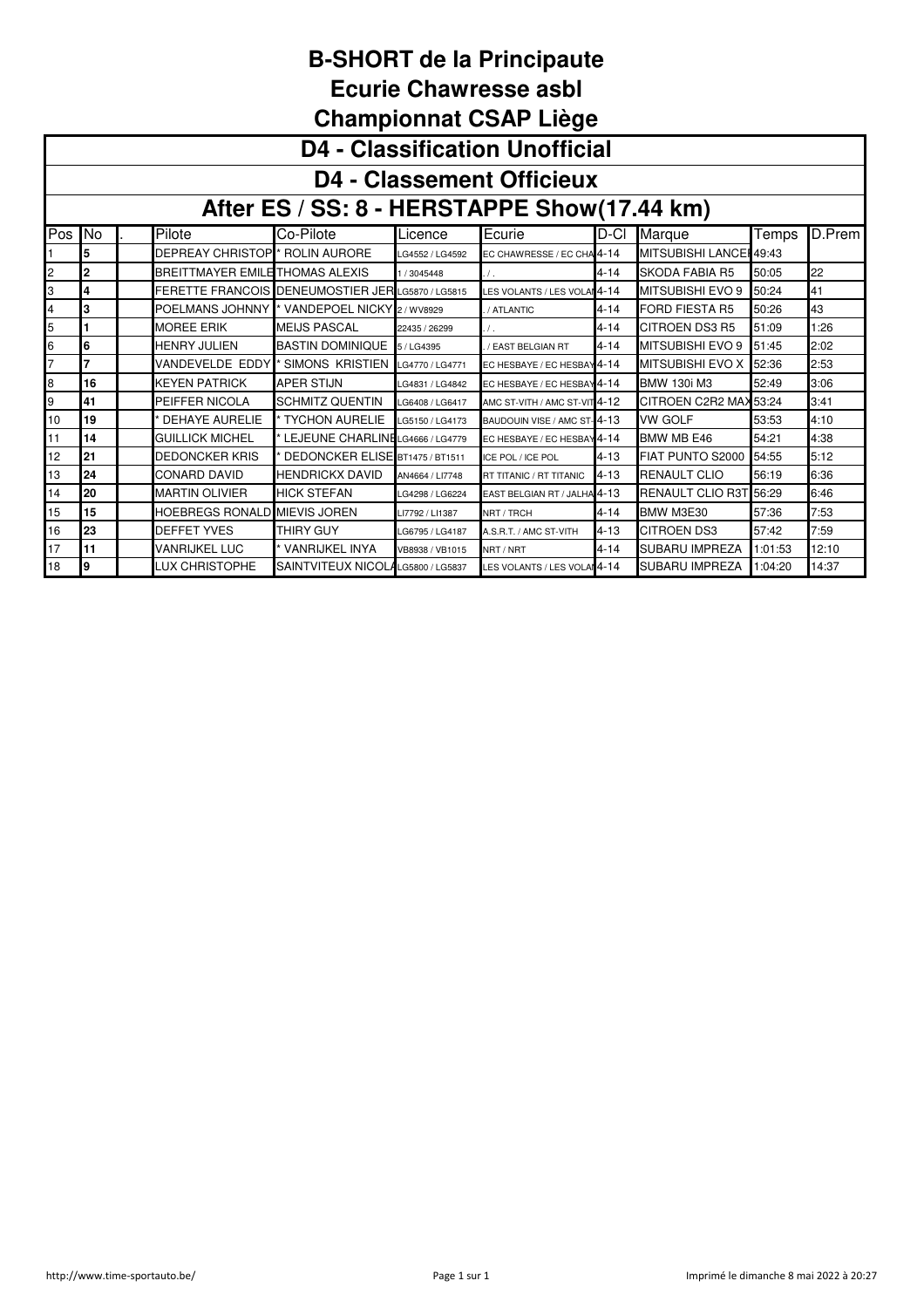#### **B-SHORT de la Principaute Ecurie Chawresse asbl**

|        | <b>D4 - Classification Unofficial</b>       |  |                                                   |                                    |                 |                                               |          |                               |         |        |  |  |  |  |
|--------|---------------------------------------------|--|---------------------------------------------------|------------------------------------|-----------------|-----------------------------------------------|----------|-------------------------------|---------|--------|--|--|--|--|
|        | <b>D4 - Classement Officieux</b>            |  |                                                   |                                    |                 |                                               |          |                               |         |        |  |  |  |  |
|        | After ES / SS: 8 - HERSTAPPE Show(17.44 km) |  |                                                   |                                    |                 |                                               |          |                               |         |        |  |  |  |  |
| Pos No |                                             |  | Pilote                                            | Co-Pilote                          | <b>Licence</b>  | Ecurie                                        | D-CI     | Marque                        | Temps   | D.Prem |  |  |  |  |
|        | 15                                          |  | DEPREAY CHRISTOP <sup>*</sup> ROLIN AURORE        |                                    | LG4552 / LG4592 | EC CHAWRESSE / EC CHA 4-14                    |          | MITSUBISHI LANCEI 49:43       |         |        |  |  |  |  |
| 2      | 2                                           |  | <b>BREITTMAYER EMILE THOMAS ALEXIS</b>            |                                    | 1/3045448       | . / .                                         | $4 - 14$ | <b>SKODA FABIA R5</b>         | 50:05   | 22     |  |  |  |  |
| IЗ     | 4                                           |  | FERETTE FRANCOIS DENEUMOSTIER JERILG5870/LG5815   |                                    |                 | <b>LES VOLANTS / LES VOLAI<sup>4</sup>-14</b> |          | MITSUBISHI EVO 9              | 50:24   | 41     |  |  |  |  |
| 4      | Ι3                                          |  | <b>POELMANS JOHNNY</b> * VANDEPOEL NICKY 2/WV8929 |                                    |                 | / ATLANTIC                                    | $4 - 14$ | <b>FORD FIESTA R5</b>         | 50:26   | 43     |  |  |  |  |
| 5      |                                             |  | <b>MOREE ERIK</b>                                 | <b>MEIJS PASCAL</b>                | 22435 / 26299   |                                               | $4 - 14$ | <b>CITROEN DS3 R5</b>         | 51:09   | 1:26   |  |  |  |  |
| 6      | l6                                          |  | <b>HENRY JULIEN</b>                               | <b>BASTIN DOMINIQUE</b>            | 5/LG4395        | / EAST BELGIAN RT                             | $4 - 14$ | <b>MITSUBISHI EVO 9</b>       | 51:45   | 2:02   |  |  |  |  |
| 17     |                                             |  | <b>VANDEVELDE EDDY</b>                            | SIMONS KRISTIEN LG4770/LG4771      |                 | EC HESBAYE / EC HESBAY 4-14                   |          | <b>MITSUBISHI EVO X</b>       | 52:36   | 2:53   |  |  |  |  |
| 8      | 16                                          |  | <b>KEYEN PATRICK</b>                              | <b>APER STIJN</b>                  | LG4831 / LG4842 | EC HESBAYE / EC HESBAY 4-14                   |          | <b>BMW 130i M3</b>            | 52:49   | 3:06   |  |  |  |  |
| 9      | 41                                          |  | <b>PEIFFER NICOLA</b>                             | <b>SCHMITZ QUENTIN</b>             | LG6408 / LG6417 | AMC ST-VITH / AMC ST-VIT 4-12                 |          | CITROEN C2R2 MAX 53:24        |         | 3:41   |  |  |  |  |
| 10     | 19                                          |  | <b>DEHAYE AURELIE</b>                             | * TYCHON AURELIE                   | LG5150 / LG4173 | BAUDOUIN VISE / AMC ST-4-13                   |          | <b>VW GOLF</b>                | 53:53   | 4:10   |  |  |  |  |
| 11     | 14                                          |  | <b>GUILLICK MICHEL</b>                            | * LEJEUNE CHARLINE LG4666 / LG4779 |                 | EC HESBAYE / EC HESBAY 4-14                   |          | BMW MB E46                    | 54:21   | 4:38   |  |  |  |  |
| 12     | 21                                          |  | <b>DEDONCKER KRIS</b>                             | DEDONCKER ELISE BT1475 / BT1511    |                 | ICE POL / ICE POL                             | 4-13     | FIAT PUNTO S2000              | 54:55   | 5:12   |  |  |  |  |
| 13     | 24                                          |  | <b>CONARD DAVID</b>                               | <b>HENDRICKX DAVID</b>             | AN4664 / LI7748 | RT TITANIC / RT TITANIC                       | $4 - 13$ | <b>RENAULT CLIO</b>           | 56:19   | 6:36   |  |  |  |  |
| 14     | 20                                          |  | <b>MARTIN OLIVIER</b>                             | <b>HICK STEFAN</b>                 | LG4298 / LG6224 | EAST BELGIAN RT / JALHA 4-13                  |          | <b>RENAULT CLIO R3T 56:29</b> |         | 6:46   |  |  |  |  |
| 15     | 15                                          |  | <b>HOEBREGS RONALD MIEVIS JOREN</b>               |                                    | LI7792 / LI1387 | NRT / TRCH                                    | $4 - 14$ | BMW M3E30                     | 57:36   | 7:53   |  |  |  |  |
| 16     | 23                                          |  | <b>DEFFET YVES</b>                                | <b>THIRY GUY</b>                   | LG6795 / LG4187 | A.S.R.T. / AMC ST-VITH                        | $4 - 13$ | <b>CITROEN DS3</b>            | 57:42   | 7:59   |  |  |  |  |
| 17     | 11                                          |  | <b>VANRIJKEL LUC</b>                              | <b>VANRIJKEL INYA</b>              | VB8938 / VB1015 | NRT / NRT                                     | $4 - 14$ | <b>SUBARU IMPREZA</b>         | 1:01:53 | 12:10  |  |  |  |  |
| 18     | 19                                          |  | LUX CHRISTOPHE                                    | SAINTVITEUX NICOLALG5800 / LG5837  |                 | LES VOLANTS / LES VOLAI <sup>4-14</sup>       |          | <b>SUBARU IMPREZA</b>         | 1:04:20 | 14:37  |  |  |  |  |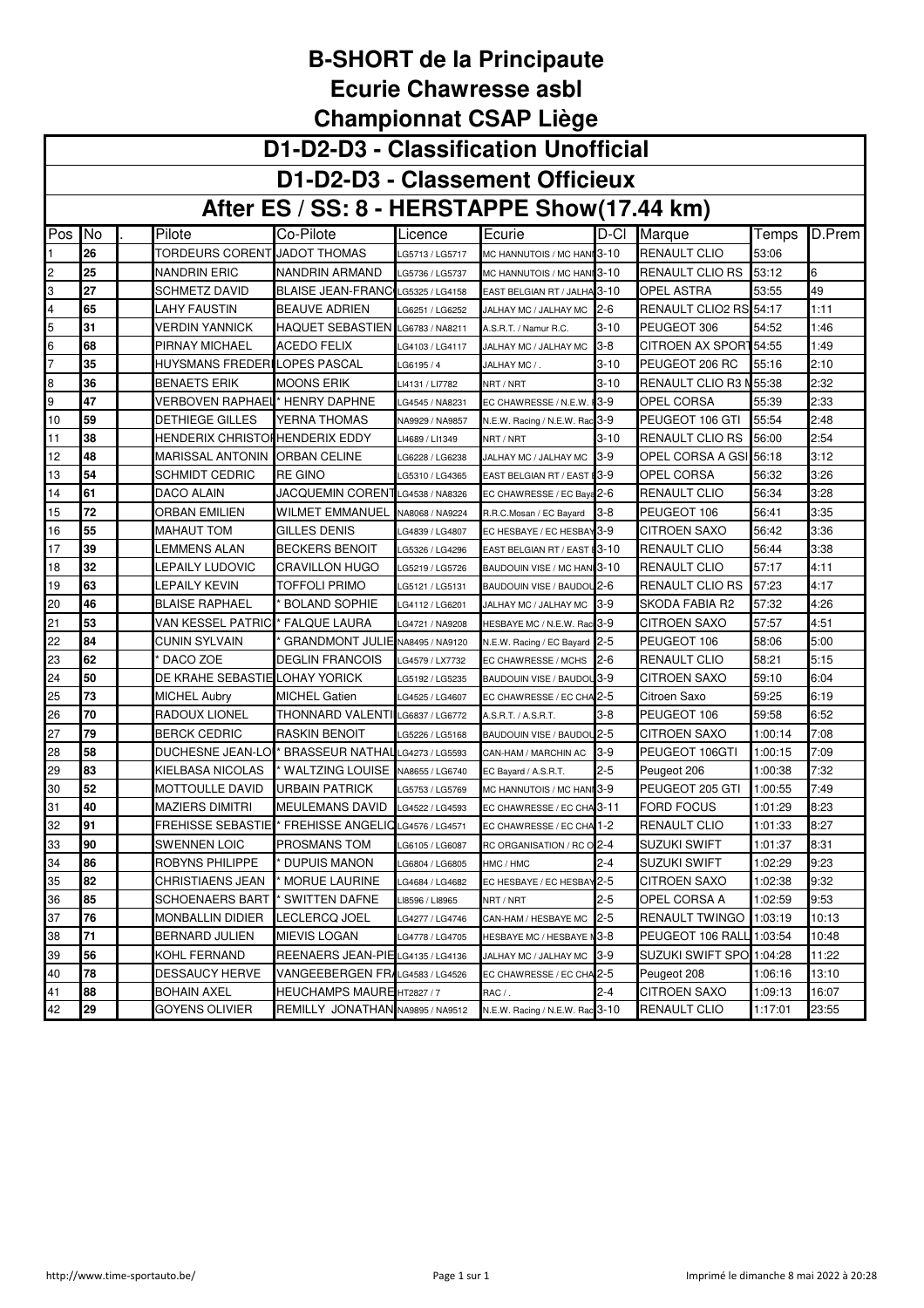#### **B-SHORT de la Principaute Ecurie Chawresse asbl Championnat CSAP Liège**

|                | <b>CHAMPIONIAL COAF LIGGS</b>        |  |                                  |                                                                 |                 |                                 |          |                         |         |        |  |  |
|----------------|--------------------------------------|--|----------------------------------|-----------------------------------------------------------------|-----------------|---------------------------------|----------|-------------------------|---------|--------|--|--|
|                | D1-D2-D3 - Classification Unofficial |  |                                  |                                                                 |                 |                                 |          |                         |         |        |  |  |
|                |                                      |  |                                  | D1-D2-D3 - Classement Officieux                                 |                 |                                 |          |                         |         |        |  |  |
|                |                                      |  |                                  | After ES / SS: 8 - HERSTAPPE Show(17.44 km)                     |                 |                                 |          |                         |         |        |  |  |
| Pos            | No                                   |  | Pilote                           | Co-Pilote                                                       | Licence         | Ecurie                          | D-CI     | Marque                  | Temps   | D.Prem |  |  |
| 1              | 26                                   |  | TORDEURS CORENT JADOT THOMAS     |                                                                 | G5713 / LG5717  | MC HANNUTOIS / MC HANI 3-10     |          | RENAULT CLIO            | 53:06   |        |  |  |
| 2              | 25                                   |  | NANDRIN ERIC                     | NANDRIN ARMAND                                                  | LG5736 / LG5737 | MC HANNUTOIS / MC HANI 3-10     |          | RENAULT CLIO RS         | 53:12   | 6      |  |  |
| 3              | 27                                   |  | SCHMETZ DAVID                    | <b>BLAISE JEAN-FRANC</b>                                        | LG5325 / LG4158 | EAST BELGIAN RT / JALHA 3-10    |          | OPEL ASTRA              | 53:55   | 49     |  |  |
| 4              | 65                                   |  | LAHY FAUSTIN                     | <b>BEAUVE ADRIEN</b>                                            | LG6251 / LG6252 | JALHAY MC / JALHAY MC           | $2-6$    | RENAULT CLIO2 RS 54:17  |         | 1:11   |  |  |
| 5              | 31                                   |  | VERDIN YANNICK                   | HAQUET SEBASTIEN LG6783 / NA8211                                |                 | A.S.R.T. / Namur R.C.           | $3 - 10$ | PEUGEOT 306             | 54:52   | 1:46   |  |  |
| 6              | 68                                   |  | PIRNAY MICHAEL                   | <b>ACEDO FELIX</b>                                              | LG4103 / LG4117 | JALHAY MC / JALHAY MC           | $3 - 8$  | CITROEN AX SPORT54:55   |         | 1:49   |  |  |
| $\overline{7}$ | 35                                   |  | HUYSMANS FREDER∥LOPES PASCAL     |                                                                 | LG6195 / 4      | JALHAY MC / .                   | $3 - 10$ | PEUGEOT 206 RC          | 55:16   | 2:10   |  |  |
| 8              | 36                                   |  | <b>BENAETS ERIK</b>              | <b>MOONS ERIK</b>                                               | LI4131 / LI7782 | NRT / NRT                       | $3 - 10$ | RENAULT CLIO R3 N 55:38 |         | 2:32   |  |  |
| 9              | 47                                   |  | VERBOVEN RAPHAEI * HENRY DAPHNE  |                                                                 | LG4545 / NA8231 | EC CHAWRESSE / N.E.W.           | $3-9$    | OPEL CORSA              | 55:39   | 2:33   |  |  |
| 10             | 59                                   |  | <b>DETHIEGE GILLES</b>           | YERNA THOMAS                                                    | NA9929 / NA9857 | N.E.W. Racing / N.E.W. Rac 3-9  |          | PEUGEOT 106 GTI         | 55:54   | 2:48   |  |  |
| 11             | 38                                   |  | HENDERIX CHRISTOI HENDERIX EDDY  |                                                                 | LI4689 / LI1349 | NRT / NRT                       | $3 - 10$ | RENAULT CLIO RS         | 56:00   | 2:54   |  |  |
| 12             | 48                                   |  | MARISSAL ANTONIN                 | <b>ORBAN CELINE</b>                                             | G6228 / LG6238  | JALHAY MC / JALHAY MC           | $3-9$    | OPEL CORSA A GSI 56:18  |         | 3:12   |  |  |
| 13             | 54                                   |  | <b>SCHMIDT CEDRIC</b>            | <b>RE GINO</b>                                                  | LG5310 / LG4365 | EAST BELGIAN RT / EAST I3-9     |          | OPEL CORSA              | 56:32   | 3:26   |  |  |
| 14             | 61                                   |  | DACO ALAIN                       | JACQUEMIN CORENT                                                | LG4538 / NA8326 | EC CHAWRESSE / EC Baya 2-6      |          | RENAULT CLIO            | 56:34   | 3:28   |  |  |
| 15             | 72                                   |  | ORBAN EMILIEN                    | <b>WILMET EMMANUEL</b>                                          | NA8068 / NA9224 | R.R.C.Mosan / EC Bayard         | 3-8      | PEUGEOT 106             | 56:41   | 3:35   |  |  |
| 16             | 55                                   |  | MAHAUT TOM                       | GILLES DENIS                                                    | G4839 / LG4807  | EC HESBAYE / EC HESBAY 3-9      |          | CITROEN SAXO            | 56:42   | 3:36   |  |  |
| 17             | 39                                   |  | LEMMENS ALAN                     | <b>BECKERS BENOIT</b>                                           | G5326 / LG4296  | EAST BELGIAN RT / EAST          | $13-10$  | RENAULT CLIO            | 56:44   | 3:38   |  |  |
| 18             | 32                                   |  | LEPAILY LUDOVIC                  | <b>CRAVILLON HUGO</b>                                           | G5219 / LG5726  | BAUDOUIN VISE / MC HAN 3-10     |          | RENAULT CLIO            | 57:17   | 4:11   |  |  |
| 19             | 63                                   |  | LEPAILY KEVIN                    | <b>TOFFOLI PRIMO</b>                                            | LG5121 / LG5131 | BAUDOUIN VISE / BAUDOU 2-6      |          | RENAULT CLIO RS         | 57:23   | 4:17   |  |  |
| 20             | 46                                   |  | <b>BLAISE RAPHAEL</b>            | <b>BOLAND SOPHIE</b>                                            | LG4112 / LG6201 | JALHAY MC / JALHAY MC           | $3-9$    | SKODA FABIA R2          | 57:32   | 4:26   |  |  |
| 21             | 53                                   |  | VAN KESSEL PATRIC * FALQUE LAURA |                                                                 | LG4721 / NA9208 | HESBAYE MC / N.E.W. Rac 3-9     |          | CITROEN SAXO            | 57:57   | 4:51   |  |  |
| 22             | 84                                   |  | <b>CUNIN SYLVAIN</b>             | GRANDMONT JULIE NA8495 / NA9120                                 |                 | N.E.W. Racing / EC Bayard 2-5   |          | PEUGEOT 106             | 58:06   | 5:00   |  |  |
| 23             | 62                                   |  | DACO ZOE                         | <b>DEGLIN FRANCOIS</b>                                          | LG4579 / LX7732 | EC CHAWRESSE / MCHS             | $2-6$    | RENAULT CLIO            | 58:21   | 5:15   |  |  |
| 24             | 50                                   |  | DE KRAHE SEBASTIE LOHAY YORICK   |                                                                 | LG5192 / LG5235 | BAUDOUIN VISE / BAUDOL 3-9      |          | CITROEN SAXO            | 59:10   | 6:04   |  |  |
| 25             | 73                                   |  | <b>MICHEL Aubry</b>              | <b>MICHEL Gatien</b>                                            | LG4525 / LG4607 | EC CHAWRESSE / EC CHA 2-5       |          | Citroen Saxo            | 59:25   | 6:19   |  |  |
| 26             | 70                                   |  | <b>RADOUX LIONEL</b>             | THONNARD VALENTI LG6837 / LG6772                                |                 | A.S.R.T. / A.S.R.T.             | $3-8$    | PEUGEOT 106             | 59:58   | 6:52   |  |  |
| 27             | 79                                   |  | <b>BERCK CEDRIC</b>              | <b>RASKIN BENOIT</b>                                            | LG5226 / LG5168 | BAUDOUIN VISE / BAUDOL 2-5      |          | CITROEN SAXO            | 1:00:14 | 7:08   |  |  |
| 28             | 58                                   |  | DUCHESNE JEAN-LOI*               | BRASSEUR NATHALLG4273 / LG5593                                  |                 | CAN-HAM / MARCHIN AC            | $3-9$    | PEUGEOT 106GTI          | 1:00:15 | 7:09   |  |  |
| 29             | 83                                   |  | KIELBASA NICOLAS                 | WALTZING LOUISE NA8655 / LG6740                                 |                 | EC Bayard / A.S.R.T.            | $2 - 5$  | Peugeot 206             | 1:00:38 | 7:32   |  |  |
| 30             | 52                                   |  | MOTTOULLE DAVID                  | <b>URBAIN PATRICK</b>                                           | LG5753 / LG5769 | MC HANNUTOIS / MC HANI3-9       |          | PEUGEOT 205 GTI         | 1:00:55 | 7:49   |  |  |
| 31             | 40                                   |  | <b>MAZIERS DIMITRI</b>           | <b>MEULEMANS DAVID</b>                                          | LG4522 / LG4593 | EC CHAWRESSE / EC CHA 3-11      |          | <b>FORD FOCUS</b>       | 1:01:29 | 8:23   |  |  |
| 32             | 91                                   |  |                                  | FREHISSE SEBASTIE <sup>*</sup> FREHISSE ANGELIC LG4576 / LG4571 |                 | EC CHAWRESSE / EC CHA 1-2       |          | <b>RENAULT CLIO</b>     | 1:01:33 | 8:27   |  |  |
| 33             | 90                                   |  | SWENNEN LOIC                     | PROSMANS TOM                                                    | LG6105 / LG6087 | RC ORGANISATION / RC O 2-4      |          | SUZUKI SWIFT            | 1:01:37 | 8:31   |  |  |
| 34             | 86                                   |  | ROBYNS PHILIPPE                  | <b>DUPUIS MANON</b>                                             | LG6804 / LG6805 | HMC / HMC                       | $2 - 4$  | SUZUKI SWIFT            | 1:02:29 | 9:23   |  |  |
| 35             | 82                                   |  | CHRISTIAENS JEAN                 | MORUE LAURINE                                                   | LG4684 / LG4682 | EC HESBAYE / EC HESBAY 2-5      |          | CITROEN SAXO            | 1:02:38 | 9:32   |  |  |
| 36             | 85                                   |  | SCHOENAERS BART                  | <b>SWITTEN DAFNE</b>                                            | LI8596 / LI8965 | NRT / NRT                       | $2 - 5$  | OPEL CORSA A            | 1:02:59 | 9:53   |  |  |
| 37             | 76                                   |  | <b>MONBALLIN DIDIER</b>          | LECLERCQ JOEL                                                   | LG4277 / LG4746 | CAN-HAM / HESBAYE MC            | $2 - 5$  | RENAULT TWINGO          | 1:03:19 | 10:13  |  |  |
| 38             | 71                                   |  | <b>BERNARD JULIEN</b>            | <b>MIEVIS LOGAN</b>                                             | LG4778 / LG4705 | HESBAYE MC / HESBAYE N3-8       |          | PEUGEOT 106 RALL        | 1:03:54 | 10:48  |  |  |
| 39             | 56                                   |  | KOHL FERNAND                     | REENAERS JEAN-PIELG4135 / LG4136                                |                 | JALHAY MC / JALHAY MC 3-9       |          | SUZUKI SWIFT SPO        | 1:04:28 | 11:22  |  |  |
| 40             | 78                                   |  | DESSAUCY HERVE                   | VANGEEBERGEN FRI LG4583 / LG4526                                |                 | EC CHAWRESSE / EC CHA 2-5       |          | Peugeot 208             | 1:06:16 | 13:10  |  |  |
| 41             | 88                                   |  | <b>BOHAIN AXEL</b>               | HEUCHAMPS MAURE HT2827/7                                        |                 | RAC / .                         | $2 - 4$  | CITROEN SAXO            | 1:09:13 | 16:07  |  |  |
| 42             | 29                                   |  | GOYENS OLIVIER                   | REMILLY JONATHAN NA9895 / NA9512                                |                 | N.E.W. Racing / N.E.W. Rac 3-10 |          | RENAULT CLIO            | 1:17:01 | 23:55  |  |  |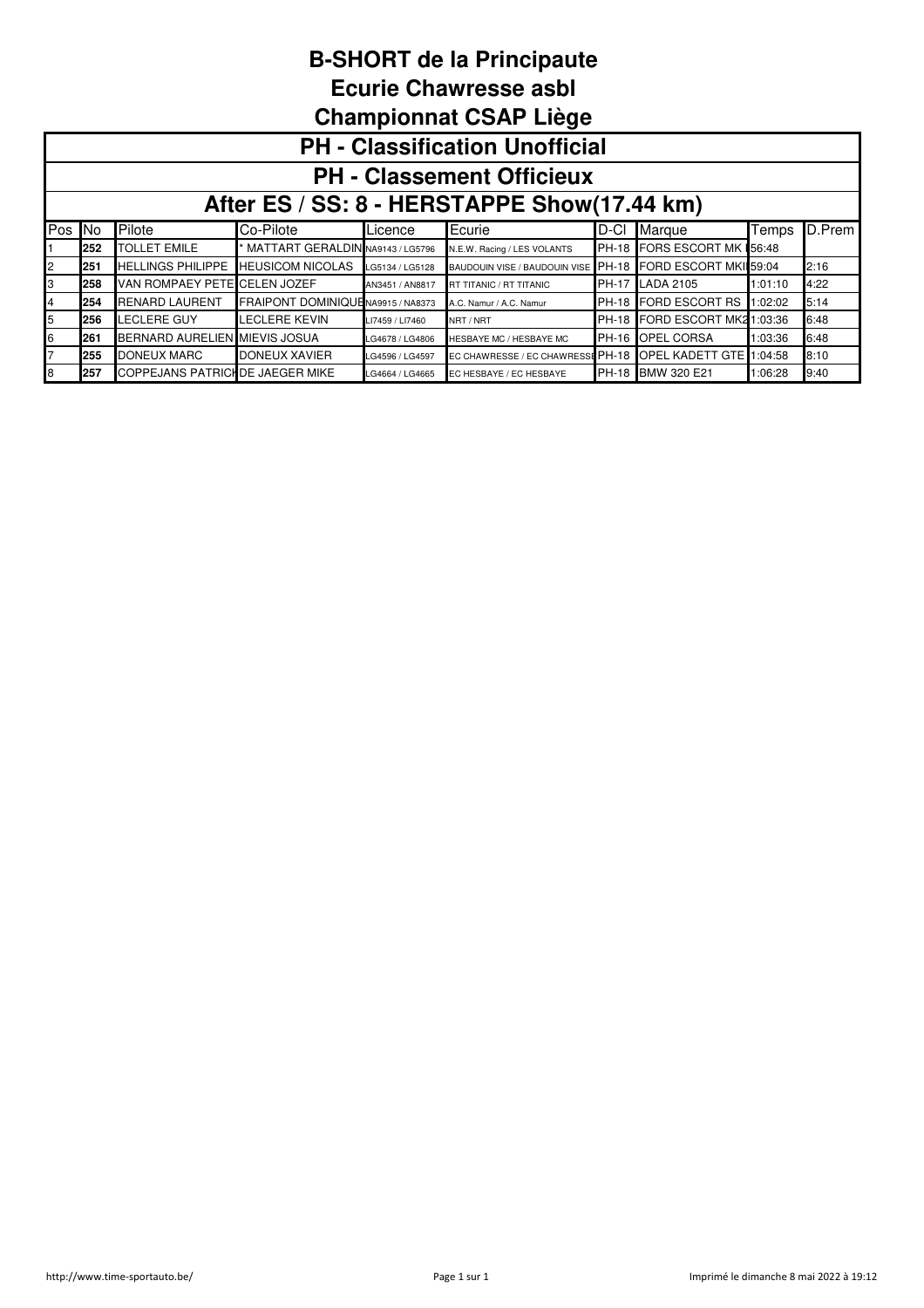#### **Ecurie Chawresse asbl**

|     | <b>Championnat CSAP Liège</b>         |                               |                                    |                 |                                             |              |                         |         |        |  |  |  |  |
|-----|---------------------------------------|-------------------------------|------------------------------------|-----------------|---------------------------------------------|--------------|-------------------------|---------|--------|--|--|--|--|
|     | <b>PH - Classification Unofficial</b> |                               |                                    |                 |                                             |              |                         |         |        |  |  |  |  |
|     | <b>PH - Classement Officieux</b>      |                               |                                    |                 |                                             |              |                         |         |        |  |  |  |  |
|     |                                       |                               |                                    |                 | After ES / SS: 8 - HERSTAPPE Show(17.44 km) |              |                         |         |        |  |  |  |  |
| Pos | <b>INo</b>                            | Pilote                        | Co-Pilote                          | Licence         | Ecurie                                      | D-CI         | Marque                  | Temps   | D.Prem |  |  |  |  |
|     | 252                                   | <b>TOLLET EMILE</b>           | MATTART GERALDIN NA9143 / LG5796   |                 | N.E.W. Racing / LES VOLANTS                 | <b>PH-18</b> | FORS ESCORT MK 156:48   |         |        |  |  |  |  |
| 2   | 251                                   | <b>HELLINGS PHILIPPE</b>      | <b>HEUSICOM NICOLAS</b>            | LG5134 / LG5128 | BAUDOUIN VISE / BAUDOUIN VISE PH-18         |              | FORD ESCORT MKI 59:04   |         | 2:16   |  |  |  |  |
|     | 258                                   | VAN ROMPAEY PETE CELEN JOZEF  |                                    | AN3451 / AN8817 | <b>RT TITANIC / RT TITANIC</b>              | <b>PH-17</b> | <b>LADA 2105</b>        | 1:01:10 | 4:22   |  |  |  |  |
|     | 254                                   | <b>RENARD LAURENT</b>         | FRAIPONT DOMINIQUE NA9915 / NA8373 |                 | A.C. Namur / A.C. Namur                     | <b>PH-18</b> | <b>FORD ESCORT RS</b>   | 1:02:02 | 5:14   |  |  |  |  |
| 5   | 256                                   | <b>LECLERE GUY</b>            | LECLERE KEVIN                      | LI7459 / LI7460 | NRT / NRT                                   | PH-18        | FORD ESCORT MK21:03:36  |         | 6:48   |  |  |  |  |
| 6   | 261                                   | BERNARD AURELIEN MIEVIS JOSUA |                                    | LG4678 / LG4806 | HESBAYE MC / HESBAYE MC                     | <b>PH-16</b> | <b>OPEL CORSA</b>       | 1:03:36 | 6:48   |  |  |  |  |
|     | 255                                   | DONEUX MARC                   | DONEUX XAVIER                      | LG4596 / LG4597 | EC CHAWRESSE / EC CHAWRESSE PH-18           |              | OPEL KADETT GTE 1:04:58 |         | 8:10   |  |  |  |  |

255 DONEUX MARC DONEUX XAVIER LG4596 / LG4597 EC CHAWRESSE / EC CHAWRESSE PH-18 OPEL KADETT GTE 1:04:58 8:10 857 COPPEJANS PATRICK DE JAEGER MIKE LG4664 / LG4665 EC HESBAYE / EC HESBAYE PH-18 BMW 320 E21 1:06:28 9:40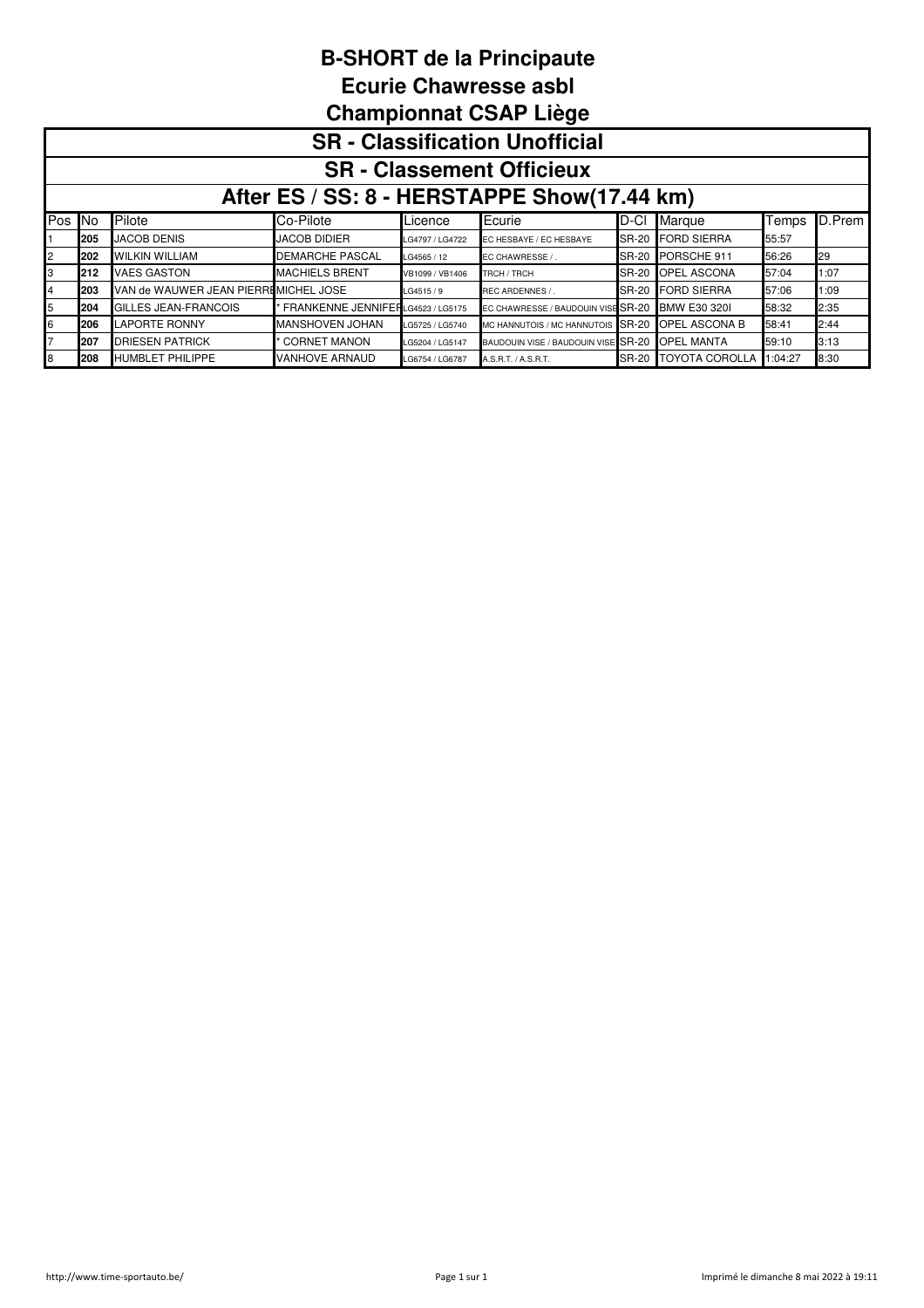**Ecurie Chawresse asbl**

|        | <b>SR</b> - Classification Unofficial       |                                      |                                   |                 |                                     |                          |                       |         |        |  |  |  |  |
|--------|---------------------------------------------|--------------------------------------|-----------------------------------|-----------------|-------------------------------------|--------------------------|-----------------------|---------|--------|--|--|--|--|
|        | <b>SR</b> - Classement Officieux            |                                      |                                   |                 |                                     |                          |                       |         |        |  |  |  |  |
|        | After ES / SS: 8 - HERSTAPPE Show(17.44 km) |                                      |                                   |                 |                                     |                          |                       |         |        |  |  |  |  |
| Pos No |                                             | Pilote                               | Co-Pilote                         | Licence         | Ecurie                              | D-CI.                    | Marque                | Temps   | D.Prem |  |  |  |  |
|        | 205                                         | <b>JACOB DENIS</b>                   | <b>JACOB DIDIER</b>               | LG4797 / LG4722 | EC HESBAYE / EC HESBAYE             | <b>SR-20</b>             | <b>FORD SIERRA</b>    | 55:57   |        |  |  |  |  |
| 2      | 202                                         | <b>WILKIN WILLIAM</b>                | <b>DEMARCHE PASCAL</b>            | LG4565 / 12     | EC CHAWRESSE / .                    | SR-20                    | PORSCHE 911           | 56:26   | 29     |  |  |  |  |
| 3      | 212                                         | <b>VAES GASTON</b>                   | <b>MACHIELS BRENT</b>             | VB1099 / VB1406 | TRCH / TRCH                         | <b>SR-20</b>             | <b>OPEL ASCONA</b>    | 57:04   | 1:07   |  |  |  |  |
| 4      | 203                                         | VAN de WAUWER JEAN PIERREMICHEL JOSE |                                   | LG4515 / 9      | REC ARDENNES / .                    | <b>SR-20</b>             | <b>FORD SIERRA</b>    | 57:06   | 1:09   |  |  |  |  |
| 5      | 204                                         | GILLES JEAN-FRANCOIS                 | FRANKENNE JENNIFERLG4523 / LG5175 |                 | EC CHAWRESSE / BAUDOUIN VISE SR-20  |                          | <b>BMW E30 3201</b>   | 58:32   | 2:35   |  |  |  |  |
| 6      | 206                                         | <b>LAPORTE RONNY</b>                 | <b>MANSHOVEN JOHAN</b>            | LG5725 / LG5740 | MC HANNUTOIS / MC HANNUTOIS         | $\mathsf{ISR}\text{-}20$ | <b>OPEL ASCONA B</b>  | 58:41   | 2:44   |  |  |  |  |
| 7      | 207                                         | <b>DRIESEN PATRICK</b>               | <b>CORNET MANON</b>               | LG5204 / LG5147 | BAUDOUIN VISE / BAUDOUIN VISE SR-20 |                          | <b>OPEL MANTA</b>     | 59:10   | 3:13   |  |  |  |  |
| 8      | 208                                         | <b>HUMBLET PHILIPPE</b>              | <b>VANHOVE ARNAUD</b>             | LG6754 / LG6787 | A.S.R.T. / A.S.R.T.                 | <b>SR-20</b>             | <b>TOYOTA COROLLA</b> | 1:04:27 | 8:30   |  |  |  |  |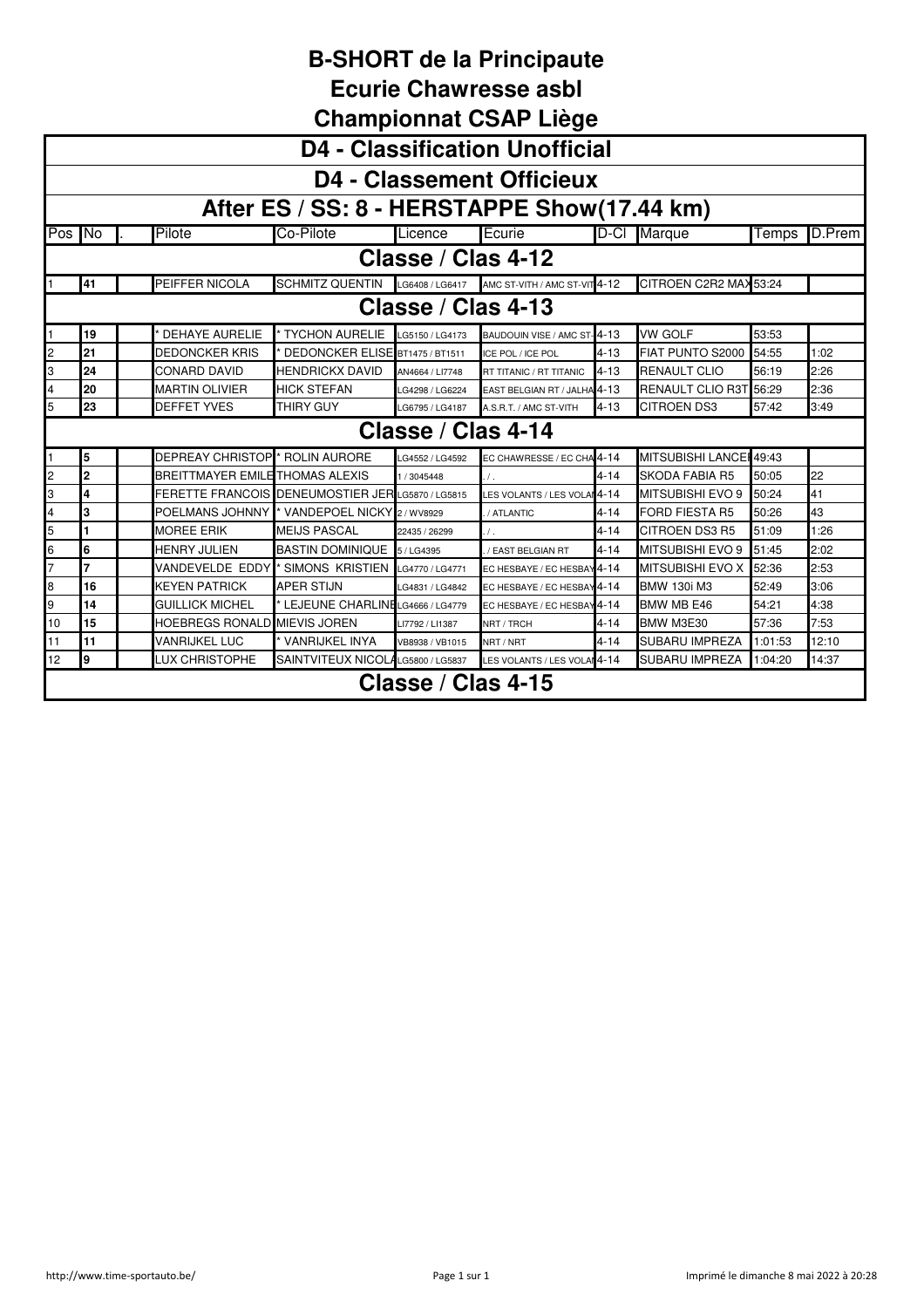**Ecurie Chawresse asbl**

|        | <b>D4 - Classification Unofficial</b>                                                                                                                 |                                        |                                                   |                    |                                               |          |                         |       |                |  |  |  |  |
|--------|-------------------------------------------------------------------------------------------------------------------------------------------------------|----------------------------------------|---------------------------------------------------|--------------------|-----------------------------------------------|----------|-------------------------|-------|----------------|--|--|--|--|
|        | <b>D4 - Classement Officieux</b>                                                                                                                      |                                        |                                                   |                    |                                               |          |                         |       |                |  |  |  |  |
|        | After ES / SS: 8 - HERSTAPPE Show(17.44 km)                                                                                                           |                                        |                                                   |                    |                                               |          |                         |       |                |  |  |  |  |
| Pos No |                                                                                                                                                       | Pilote                                 | Co-Pilote                                         | Licence            | <b>Ecurie</b>                                 | ID-CI.   | Marque                  | Temps | <b>ID.Prem</b> |  |  |  |  |
|        | Classe / Clas 4-12                                                                                                                                    |                                        |                                                   |                    |                                               |          |                         |       |                |  |  |  |  |
|        | 41                                                                                                                                                    | PEIFFER NICOLA                         | <b>SCHMITZ QUENTIN</b>                            |                    | LG6408 / LG6417 AMC ST-VITH / AMC ST-VIT 4-12 |          | CITROEN C2R2 MAX 53:24  |       |                |  |  |  |  |
|        | Classe / Clas 4-13                                                                                                                                    |                                        |                                                   |                    |                                               |          |                         |       |                |  |  |  |  |
|        | <b>DEHAYE AURELIE</b><br><b>TYCHON AURELIE</b><br>53:53<br>19<br><b>VW GOLF</b><br>BAUDOUIN VISE / AMC ST-4-13<br>LG5150 / LG4173                     |                                        |                                                   |                    |                                               |          |                         |       |                |  |  |  |  |
| 2      | 54:55<br>21<br><b>DEDONCKER KRIS</b><br>FIAT PUNTO S2000<br>1:02<br>DEDONCKER ELISE BT1475 / BT1511<br>$4 - 13$<br>ICE POL / ICE POL                  |                                        |                                                   |                    |                                               |          |                         |       |                |  |  |  |  |
| 3      | 2:26<br>24<br><b>CONARD DAVID</b><br><b>RENAULT CLIO</b><br>56:19<br><b>HENDRICKX DAVID</b><br>$4 - 13$<br>RT TITANIC / RT TITANIC<br>AN4664 / LI7748 |                                        |                                                   |                    |                                               |          |                         |       |                |  |  |  |  |
| 4      | 2:36<br>20<br><b>MARTIN OLIVIER</b><br><b>RENAULT CLIO R3T</b><br>56:29<br><b>HICK STEFAN</b><br>EAST BELGIAN RT / JALHA 4-13<br>LG4298 / LG6224      |                                        |                                                   |                    |                                               |          |                         |       |                |  |  |  |  |
| 5      | 23                                                                                                                                                    | <b>DEFFET YVES</b>                     | THIRY GUY                                         | LG6795 / LG4187    | A.S.R.T. / AMC ST-VITH                        | $4 - 13$ | <b>CITROEN DS3</b>      | 57:42 | 3:49           |  |  |  |  |
|        |                                                                                                                                                       |                                        |                                                   | Classe / Clas 4-14 |                                               |          |                         |       |                |  |  |  |  |
|        | 5                                                                                                                                                     | <b>DEPREAY CHRISTOP</b>                | <b>ROLIN AURORE</b>                               | LG4552 / LG4592    | EC CHAWRESSE / EC CHA 4-14                    |          | MITSUBISHI LANCEI 49:43 |       |                |  |  |  |  |
| 2      | $\overline{2}$                                                                                                                                        | <b>BREITTMAYER EMILE THOMAS ALEXIS</b> |                                                   | 1/3045448          |                                               | $4 - 14$ | <b>SKODA FABIA R5</b>   | 50:05 | 22             |  |  |  |  |
| 3      | 4                                                                                                                                                     |                                        | FERETTE FRANCOIS DENEUMOSTIER JER LG5870 / LG5815 |                    | LES VOLANTS / LES VOLAI <sup>4-14</sup>       |          | <b>MITSUBISHI EVO 9</b> | 50:24 | 41             |  |  |  |  |
| 4      | 3                                                                                                                                                     | POELMANS JOHNNY                        | VANDEPOEL NICKY 2/ WV8929                         |                    | / ATLANTIC                                    | $4 - 14$ | <b>FORD FIESTA R5</b>   | 50:26 | 43             |  |  |  |  |
| 5      |                                                                                                                                                       | <b>MOREE ERIK</b>                      | <b>MEIJS PASCAL</b>                               | 22435 / 26299      |                                               | $4 - 14$ | <b>CITROEN DS3 R5</b>   | 51:09 | 1:26           |  |  |  |  |
| 6      | 6                                                                                                                                                     | <b>HENRY JULIEN</b>                    | <b>BASTIN DOMINIQUE</b>                           | 5 / LG4395         | / EAST BELGIAN RT                             | $4 - 14$ | <b>MITSUBISHI EVO 9</b> | 51:45 | 2:02           |  |  |  |  |
| 7      | 7                                                                                                                                                     | VANDEVELDE EDDY                        | <b>SIMONS KRISTIEN</b>                            | LG4770 / LG4771    | EC HESBAYE / EC HESBAY 4-14                   |          | <b>MITSUBISHI EVO X</b> | 52:36 | 2:53           |  |  |  |  |
| 8      | 16                                                                                                                                                    | <b>KEYEN PATRICK</b>                   | APER STIJN                                        | LG4831 / LG4842    | EC HESBAYE / EC HESBAY 4-14                   |          | <b>BMW 130i M3</b>      | 52:49 | 3:06           |  |  |  |  |
| 9      | 14                                                                                                                                                    | <b>GUILLICK MICHEL</b>                 | LEJEUNE CHARLINE LG4666 / LG4779                  |                    | EC HESBAYE / EC HESBAY 4-14                   |          | BMW MB E46              | 54:21 | 4:38           |  |  |  |  |
| 10     | 15                                                                                                                                                    | <b>HOEBREGS RONALD MIEVIS JOREN</b>    |                                                   | LI7792 / LI1387    | NRT / TRCH                                    | $4 - 14$ | BMW M3E30               | 57:36 | 7:53           |  |  |  |  |
| 11     | 11<br><b>VANRIJKEL LUC</b><br><b>VANRIJKEL INYA</b><br>$4 - 14$<br><b>SUBARU IMPREZA</b><br>12:10<br>1:01:53<br>VB8938 / VB1015<br>NRT / NRT          |                                        |                                                   |                    |                                               |          |                         |       |                |  |  |  |  |
| 12     | 9<br><b>LUX CHRISTOPHE</b><br>SAINTVITEUX NICOLALG5800 / LG5837<br><b>SUBARU IMPREZA</b><br>14:37<br>LES VOLANTS / LES VOLAI 4-14<br>1:04:20          |                                        |                                                   |                    |                                               |          |                         |       |                |  |  |  |  |
|        |                                                                                                                                                       |                                        |                                                   | Classe / Clas 4-15 |                                               |          |                         |       |                |  |  |  |  |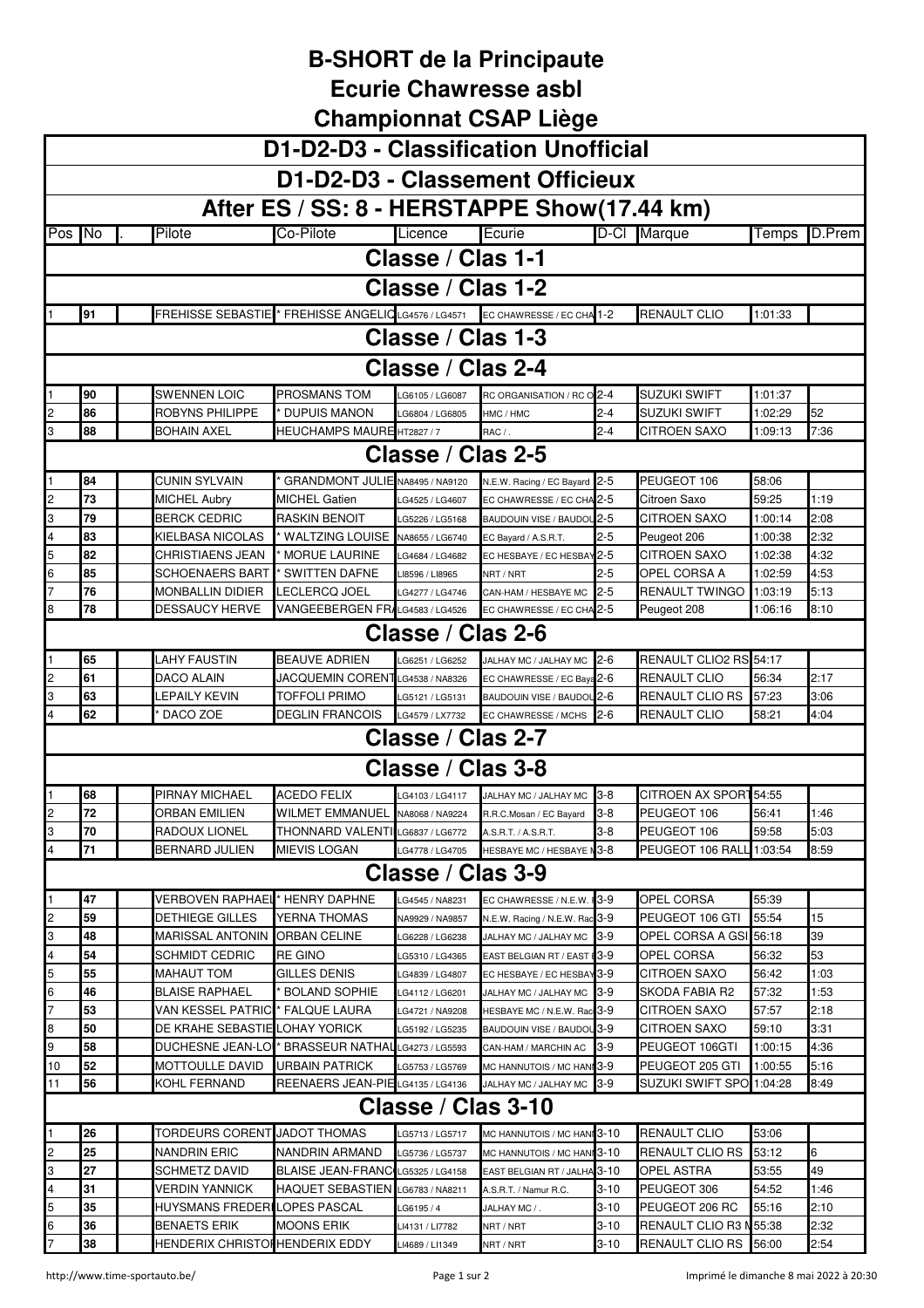**Ecurie Chawresse asbl**

|        | D1-D2-D3 - Classification Unofficial |  |                                               |                                             |                                   |                                                            |         |                                     |                    |              |  |  |
|--------|--------------------------------------|--|-----------------------------------------------|---------------------------------------------|-----------------------------------|------------------------------------------------------------|---------|-------------------------------------|--------------------|--------------|--|--|
|        | D1-D2-D3 - Classement Officieux      |  |                                               |                                             |                                   |                                                            |         |                                     |                    |              |  |  |
|        |                                      |  |                                               | After ES / SS: 8 - HERSTAPPE Show(17.44 km) |                                   |                                                            |         |                                     |                    |              |  |  |
| Pos    | No                                   |  | Pilote                                        | Co-Pilote                                   | Licence                           | Ecurie                                                     |         | D-Cl Marque                         | Temps              | D.Prem       |  |  |
|        |                                      |  |                                               |                                             | Classe / Clas 1-1                 |                                                            |         |                                     |                    |              |  |  |
|        |                                      |  |                                               |                                             | Classe / Clas 1-2                 |                                                            |         |                                     |                    |              |  |  |
|        | 91                                   |  | <b>FREHISSE SEBASTIE</b>                      |                                             |                                   | FREHISSE ANGELIC LG4576 / LG4571 EC CHAWRESSE / EC CHA 1-2 |         | <b>RENAULT CLIO</b>                 | 1:01:33            |              |  |  |
|        |                                      |  |                                               |                                             | Classe / Clas 1-3                 |                                                            |         |                                     |                    |              |  |  |
|        |                                      |  |                                               |                                             |                                   |                                                            |         |                                     |                    |              |  |  |
|        |                                      |  |                                               |                                             | Classe / Clas 2-4                 |                                                            |         |                                     |                    |              |  |  |
| 2      | 90<br>86                             |  | <b>SWENNEN LOIC</b><br><b>ROBYNS PHILIPPE</b> | PROSMANS TOM<br><b>DUPUIS MANON</b>         | LG6105 / LG6087                   | RC ORGANISATION / RC O 2-4                                 | $2 - 4$ | <b>SUZUKI SWIFT</b><br>SUZUKI SWIFT | 1:01:37<br>1:02:29 | 52           |  |  |
| 3      | 88                                   |  | <b>BOHAIN AXEL</b>                            | HEUCHAMPS MAURE HT2827/7                    | LG6804 / LG6805                   | HMC / HMC<br>RAC / .                                       | $2 - 4$ | CITROEN SAXO                        | 1:09:13            | 7:36         |  |  |
|        |                                      |  |                                               |                                             | Classe / Clas 2-5                 |                                                            |         |                                     |                    |              |  |  |
| 1      | 84                                   |  | <b>CUNIN SYLVAIN</b>                          | <b>GRANDMONT JULIE</b>                      | NA8495 / NA9120                   | N.E.W. Racing / EC Bayard 2-5                              |         | PEUGEOT 106                         | 58:06              |              |  |  |
| 2      | 73                                   |  | <b>MICHEL Aubry</b>                           | MICHEL Gatien                               | LG4525 / LG4607                   | EC CHAWRESSE / EC CHA 2-5                                  |         | Citroen Saxo                        | 59:25              | 1:19         |  |  |
| 3      | 79                                   |  | <b>BERCK CEDRIC</b>                           | RASKIN BENOIT                               | LG5226 / LG5168                   | BAUDOUIN VISE / BAUDOL 2-5                                 |         | CITROEN SAXO                        | 1:00:14            | 2:08         |  |  |
| 4      | 83                                   |  | KIELBASA NICOLAS                              | <b>WALTZING LOUISE</b>                      | NA8655 / LG6740                   | EC Bayard / A.S.R.T.                                       | $2 - 5$ | Peugeot 206                         | 1:00:38            | 2:32         |  |  |
| 5      | 82                                   |  | CHRISTIAENS JEAN                              | <b>MORUE LAURINE</b>                        | LG4684 / LG4682                   | EC HESBAYE / EC HESBAY 2-5                                 |         | CITROEN SAXO                        | 1:02:38            | 4:32         |  |  |
| 6      | 85                                   |  | <b>SCHOENAERS BART</b>                        | <b>SWITTEN DAFNE</b>                        | LI8596 / LI8965                   | NRT / NRT                                                  | 2-5     | OPEL CORSA A                        | 1:02:59            | 4:53         |  |  |
| 7      | 76                                   |  | <b>MONBALLIN DIDIER</b>                       | LECLERCQ JOEL                               | LG4277 / LG4746                   | CAN-HAM / HESBAYE MC                                       | 2-5     | RENAULT TWINGO                      | 1:03:19            | 5:13         |  |  |
| 8      | 78                                   |  | <b>DESSAUCY HERVE</b>                         | VANGEEBERGEN FR/LG4583 / LG4526             |                                   | EC CHAWRESSE / EC CHA 2-5                                  |         | Peugeot 208                         | 1:06:16            | 8:10         |  |  |
|        |                                      |  |                                               |                                             | Classe / Clas 2-6                 |                                                            |         |                                     |                    |              |  |  |
| 1      | 65                                   |  | <b>LAHY FAUSTIN</b>                           | BEAUVE ADRIEN                               | LG6251 / LG6252                   | JALHAY MC / JALHAY MC                                      | 2-6     | RENAULT CLIO2 RS 54:17              |                    |              |  |  |
| 2      | 61                                   |  | <b>DACO ALAIN</b>                             | JACQUEMIN COREN <sup>-</sup>                | LG4538 / NA8326                   | EC CHAWRESSE / EC Baya 2-6                                 |         | RENAULT CLIO                        | 56:34              | 2:17         |  |  |
| 3      | 63                                   |  | LEPAILY KEVIN                                 | TOFFOLI PRIMO                               | LG5121 / LG5131                   | BAUDOUIN VISE / BAUDOL 2-6                                 |         | RENAULT CLIO RS                     | 57:23              | 3:06         |  |  |
| 4      | 62                                   |  | DACO ZOE                                      | DEGLIN FRANCOIS                             | LG4579 / LX7732                   | EC CHAWRESSE / MCHS                                        | 2-6     | RENAULT CLIO                        | 58:21              | 4:04         |  |  |
|        |                                      |  |                                               |                                             | Classe / Clas 2-7                 |                                                            |         |                                     |                    |              |  |  |
|        |                                      |  |                                               |                                             | Classe / Clas 3-8                 |                                                            |         |                                     |                    |              |  |  |
|        | 68                                   |  | PIRNAY MICHAEL                                | <b>ACEDO FELIX</b>                          | LG4103 / LG4117                   | JALHAY MC / JALHAY MC                                      | $3-8$   | CITROEN AX SPORT54:55               |                    |              |  |  |
| 2      | 72                                   |  | ORBAN EMILIEN                                 | WILMET EMMANUEL NA8068 / NA9224             |                                   | R.R.C.Mosan / EC Bayard                                    | $3 - 8$ | PEUGEOT 106                         | 56:41              | 1:46         |  |  |
| 3      | 70                                   |  | RADOUX LIONEL                                 | THONNARD VALENTI LG6837 / LG6772            |                                   | A.S.R.T. / A.S.R.T.                                        | $3 - 8$ | PEUGEOT 106                         | 59:58              | 5:03         |  |  |
| 4      | 71                                   |  | <b>BERNARD JULIEN</b>                         | MIEVIS LOGAN                                | LG4778 / LG4705                   | HESBAYE MC / HESBAYE N3-8                                  |         | PEUGEOT 106 RALL                    | 1:03:54            | 8:59         |  |  |
|        |                                      |  |                                               |                                             | Classe / Clas 3-9                 |                                                            |         |                                     |                    |              |  |  |
| 1      | 47                                   |  | <b>VERBOVEN RAPHAEL</b>                       | <b>HENRY DAPHNE</b>                         | LG4545 / NA8231                   | EC CHAWRESSE / N.E.W. I 3-9                                |         | OPEL CORSA                          | 55:39              |              |  |  |
| 2      | 59                                   |  | <b>DETHIEGE GILLES</b>                        | YERNA THOMAS                                | NA9929 / NA9857                   | N.E.W. Racing / N.E.W. Rac 3-9                             |         | PEUGEOT 106 GTI                     | 55:54              | 15           |  |  |
| 3      | 48                                   |  | <b>MARISSAL ANTONIN</b>                       | ORBAN CELINE                                | LG6228 / LG6238                   | JALHAY MC / JALHAY MC                                      | 3-9     | OPEL CORSA A GSI 56:18              |                    | 39           |  |  |
| 4      | 54                                   |  | SCHMIDT CEDRIC                                | RE GINO                                     | LG5310 / LG4365                   | EAST BELGIAN RT / EAST I 3-9                               |         | OPEL CORSA                          | 56:32              | 53           |  |  |
| 5      | 55                                   |  | MAHAUT TOM                                    | GILLES DENIS                                | G4839 / LG4807                    | EC HESBAYE / EC HESBAY                                     | 3-9     | CITROEN SAXO                        | 56:42              | 1:03         |  |  |
| 6<br>7 | 46<br>53                             |  | <b>BLAISE RAPHAEL</b><br>VAN KESSEL PATRIC    | <b>BOLAND SOPHIE</b><br><b>FALQUE LAURA</b> | LG4112 / LG6201                   | JALHAY MC / JALHAY MC<br>HESBAYE MC / N.E.W. Rac 3-9       | 3-9     | SKODA FABIA R2<br>CITROEN SAXO      | 57:32<br>57:57     | 1:53<br>2:18 |  |  |
| 8      | 50                                   |  | DE KRAHE SEBASTIE                             | LOHAY YORICK                                | G4721 / NA9208.<br>G5192 / LG5235 | BAUDOUIN VISE / BAUDOL 3-9                                 |         | CITROEN SAXO                        | 59:10              | 3:31         |  |  |
| 9      | 58                                   |  | DUCHESNE JEAN-LO                              | <b>BRASSEUR NATHAL</b>                      | LG4273 / LG5593                   | CAN-HAM / MARCHIN AC                                       | 3-9     | PEUGEOT 106GTI                      | 1:00:15            | 4:36         |  |  |
| 10     | 52                                   |  | MOTTOULLE DAVID                               | URBAIN PATRICK                              | LG5753 / LG5769                   | MC HANNUTOIS / MC HANI3-9                                  |         | PEUGEOT 205 GTI                     | 1:00:55            | 5:16         |  |  |
| 11     | 56                                   |  | KOHL FERNAND                                  | REENAERS JEAN-PIELG4135 / LG4136            |                                   | JALHAY MC / JALHAY MC                                      | 3-9     | SUZUKI SWIFT SPO                    | 1:04:28            | 8:49         |  |  |
|        |                                      |  |                                               |                                             | Classe / Clas 3-10                |                                                            |         |                                     |                    |              |  |  |
| 1      | 26                                   |  | TORDEURS CORENT JADOT THOMAS                  |                                             | LG5713 / LG5717                   | MC HANNUTOIS / MC HANI 3-10                                |         | RENAULT CLIO                        | 53:06              |              |  |  |
| 2      | 25                                   |  | NANDRIN ERIC                                  | NANDRIN ARMAND                              | LG5736 / LG5737                   | MC HANNUTOIS / MC HANI 3-10                                |         | RENAULT CLIO RS                     | 53:12              | 6            |  |  |
| 3      | 27                                   |  | SCHMETZ DAVID                                 | BLAISE JEAN-FRANC                           | LG5325 / LG4158                   | EAST BELGIAN RT / JALHA 3-10                               |         | OPEL ASTRA                          | 53:55              | 49           |  |  |
| 4      | 31                                   |  | VERDIN YANNICK                                | HAQUET SEBASTIEN                            | LG6783 / NA8211                   | A.S.R.T. / Namur R.C.                                      | 3-10    | PEUGEOT 306                         | 54:52              | 1:46         |  |  |
| 5      | 35                                   |  | <b>HUYSMANS FREDERI</b>                       | LOPES PASCAL                                | LG6195 / 4                        | JALHAY MC / .                                              | 3-10    | PEUGEOT 206 RC                      | 55:16              | 2:10         |  |  |
| 6      | 36                                   |  | <b>BENAETS ERIK</b>                           | <b>MOONS ERIK</b>                           | .14131 / LI7782                   | NRT / NRT                                                  | 3-10    | RENAULT CLIO R3 N55:38              |                    | 2:32         |  |  |
| 7      | 38                                   |  | HENDERIX CHRISTOI HENDERIX EDDY               |                                             | .14689 / LI1349                   | NRT / NRT                                                  | 3-10    | RENAULT CLIO RS                     | 56:00              | 2:54         |  |  |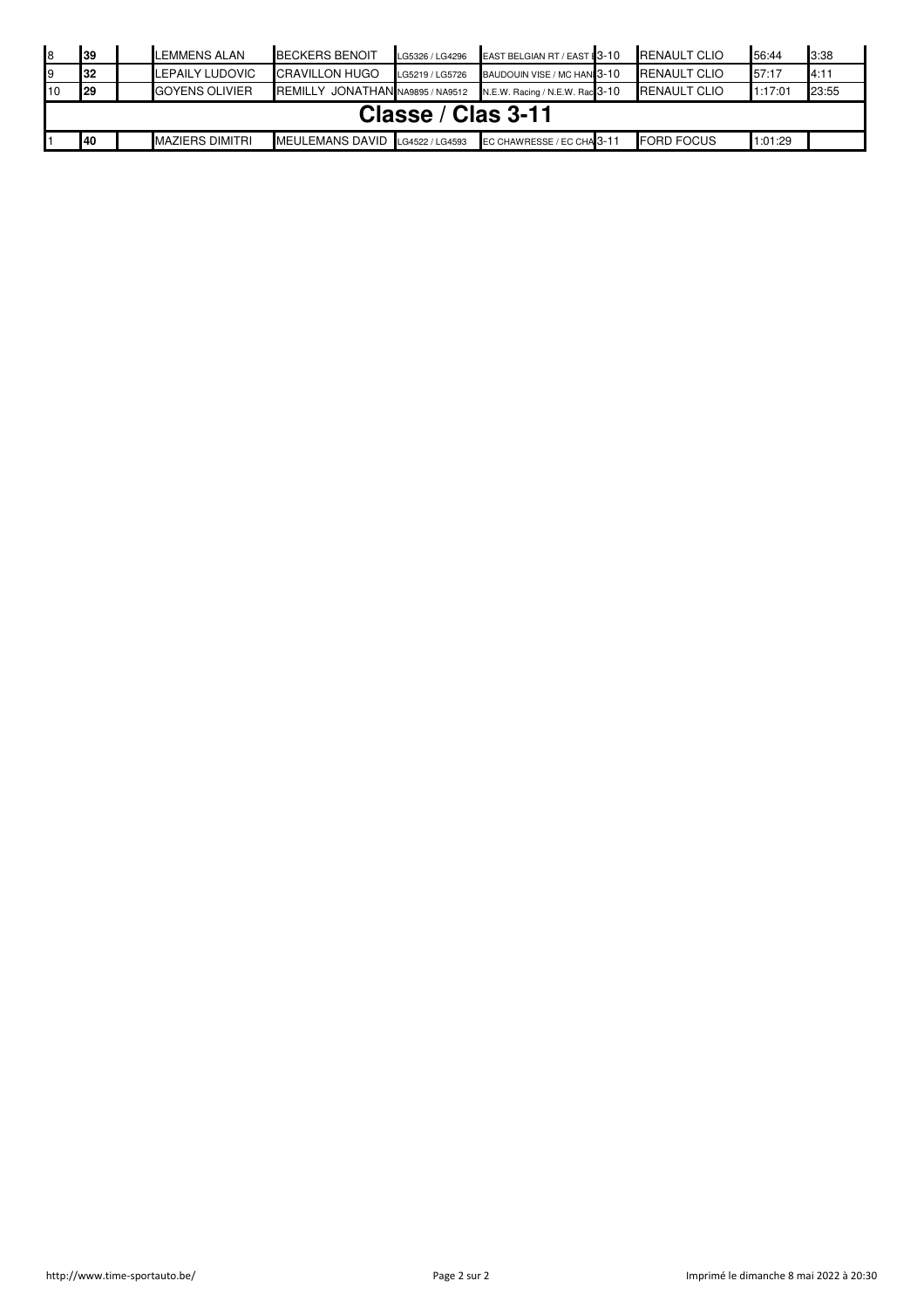| 8  | 39 | <b>LEMMENS ALAN</b>    | <b>BECKERS BENOIT</b>            | LG5326 / LG4296    | EAST BELGIAN RT / EAST 13-10    | <b>RENAULT CLIO</b> | 56:44   | 3:38  |
|----|----|------------------------|----------------------------------|--------------------|---------------------------------|---------------------|---------|-------|
|    | 32 | LEPAILY LUDOVIC        | <b>CRAVILLON HUGO</b>            | LG5219 / LG5726    | BAUDOUIN VISE / MC HAN 3-10     | <b>RENAULT CLIO</b> | 57:17   | 4:11  |
| 10 | 29 | <b>GOYENS OLIVIER</b>  | REMILLY JONATHAN NA9895 / NA9512 |                    | N.E.W. Racing / N.E.W. Rac 3-10 | <b>RENAULT CLIO</b> | 1:17:01 | 23:55 |
|    |    |                        |                                  | Classe / Clas 3-11 |                                 |                     |         |       |
|    | 40 | <b>MAZIERS DIMITRI</b> | MEULEMANS DAVID LG4522 / LG4593  |                    | EC CHAWRESSE / EC CHA 3-11      | <b>FORD FOCUS</b>   | 1:01:29 |       |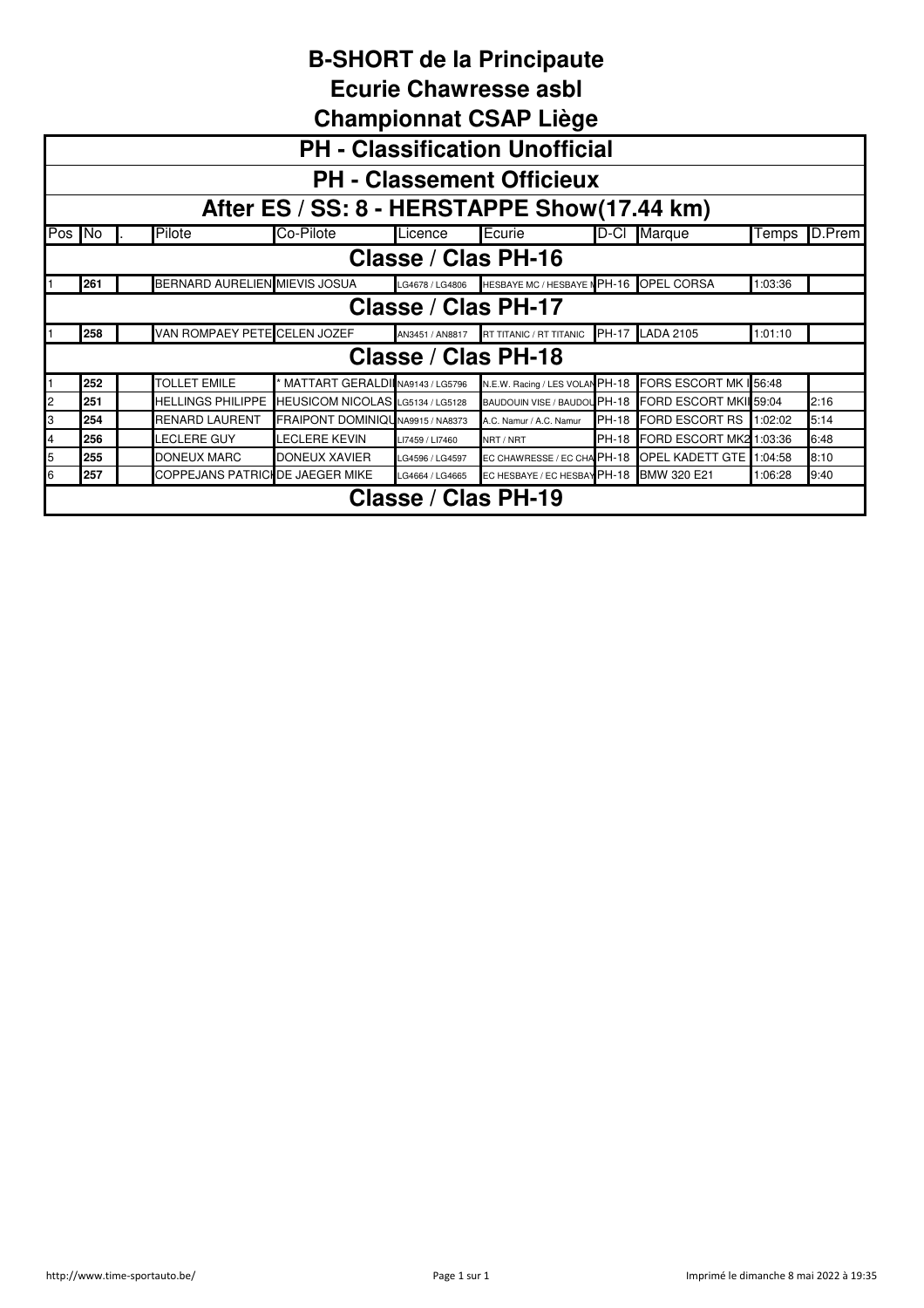#### **Ecurie Chawresse asbl**

|   | <b>PH - Classification Unofficial</b>                                                                         |                                         |                                   |                 |                                                       |  |                                                     |         |      |  |  |  |  |  |
|---|---------------------------------------------------------------------------------------------------------------|-----------------------------------------|-----------------------------------|-----------------|-------------------------------------------------------|--|-----------------------------------------------------|---------|------|--|--|--|--|--|
|   |                                                                                                               |                                         |                                   |                 |                                                       |  |                                                     |         |      |  |  |  |  |  |
|   | <b>PH - Classement Officieux</b>                                                                              |                                         |                                   |                 |                                                       |  |                                                     |         |      |  |  |  |  |  |
|   | After ES / SS: 8 - HERSTAPPE Show(17.44 km)                                                                   |                                         |                                   |                 |                                                       |  |                                                     |         |      |  |  |  |  |  |
|   | Pos No<br>Co-Pilote<br>Ecurie<br>Marque<br>D.Prem<br>Pilote<br>D-Cl<br>Licence<br>Temps                       |                                         |                                   |                 |                                                       |  |                                                     |         |      |  |  |  |  |  |
|   | Classe / Clas PH-16                                                                                           |                                         |                                   |                 |                                                       |  |                                                     |         |      |  |  |  |  |  |
|   | BERNARD AURELIEN MIEVIS JOSUA<br>HESBAYE MC / HESBAYE N PH-16 OPEL CORSA<br>261<br>1:03:36<br>LG4678 / LG4806 |                                         |                                   |                 |                                                       |  |                                                     |         |      |  |  |  |  |  |
|   | Classe / Clas PH-17                                                                                           |                                         |                                   |                 |                                                       |  |                                                     |         |      |  |  |  |  |  |
|   | 258                                                                                                           | VAN ROMPAEY PETE CELEN JOZEF            |                                   | AN3451 / AN8817 | RT TITANIC / RT TITANIC                               |  | PH-17 LADA 2105                                     | 1:01:10 |      |  |  |  |  |  |
|   |                                                                                                               |                                         |                                   |                 | Classe / Clas PH-18                                   |  |                                                     |         |      |  |  |  |  |  |
|   | 252                                                                                                           | <b>TOLLET EMILE</b>                     | * MATTART GERALDI NA9143 / LG5796 |                 | N.E.W. Racing / LES VOLAN PH-18 FORS ESCORT MK 156:48 |  |                                                     |         |      |  |  |  |  |  |
| 2 | 251                                                                                                           | <b>HELLINGS PHILIPPE</b>                | HEUSICOM NICOLAS LG5134 / LG5128  |                 |                                                       |  | BAUDOUIN VISE / BAUDOU PH-18 FORD ESCORT MKII 59:04 |         | 2:16 |  |  |  |  |  |
| 3 | 254                                                                                                           | <b>RENARD LAURENT</b>                   | FRAIPONT DOMINIQU NA9915 / NA8373 |                 | A.C. Namur / A.C. Namur                               |  | PH-18 FORD ESCORT RS 1:02:02                        |         | 5:14 |  |  |  |  |  |
| 4 | 256                                                                                                           | <b>LECLERE GUY</b>                      | <b>LECLERE KEVIN</b>              | LI7459 / LI7460 | NRT / NRT                                             |  | PH-18 FORD ESCORT MK2 1:03:36                       |         | 6:48 |  |  |  |  |  |
| 5 | 255                                                                                                           | <b>DONEUX MARC</b>                      | <b>DONEUX XAVIER</b>              | LG4596 / LG4597 |                                                       |  | EC CHAWRESSE / EC CHA PH-18 OPEL KADETT GTE 1:04:58 |         | 8:10 |  |  |  |  |  |
| 6 | 257                                                                                                           | <b>COPPEJANS PATRICI DE JAEGER MIKE</b> |                                   | LG4664 / LG4665 | EC HESBAYE / EC HESBAY PH-18 BMW 320 E21              |  |                                                     | 1:06:28 | 9:40 |  |  |  |  |  |
|   |                                                                                                               |                                         |                                   |                 | Classe / Clas PH-19                                   |  |                                                     |         |      |  |  |  |  |  |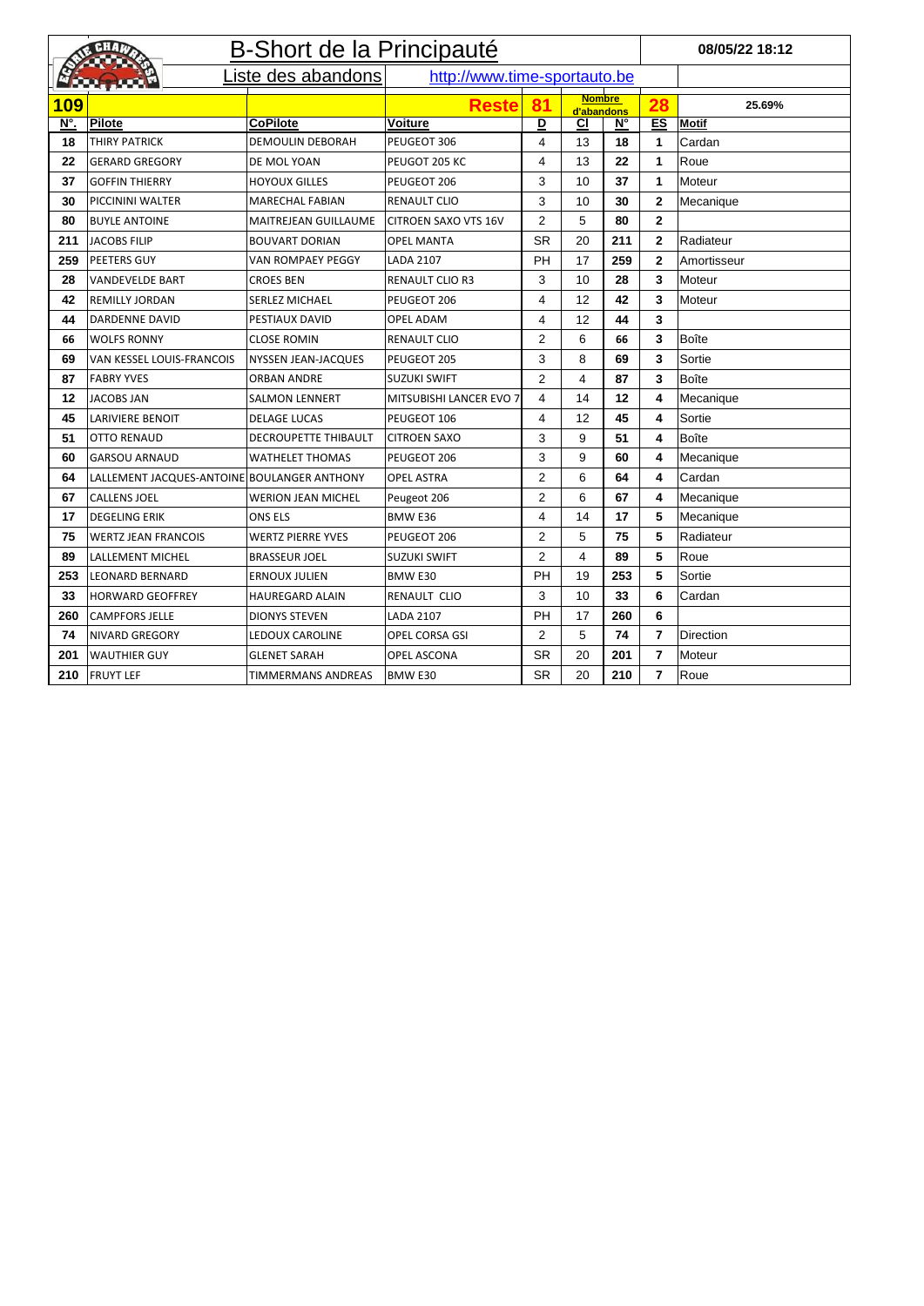|            | <b>GHAT</b>                                 | B-Short de la Principauté   |                              |                         |                             |                                |                | 08/05/22 18:12 |
|------------|---------------------------------------------|-----------------------------|------------------------------|-------------------------|-----------------------------|--------------------------------|----------------|----------------|
|            | <b>Execute</b>                              | Liste des abandons          | http://www.time-sportauto.be |                         |                             |                                |                |                |
| <b>109</b> |                                             |                             | <b>Reste</b>                 | 81                      | <b>Nombre</b><br>d'abandons |                                | 28             | 25.69%         |
| N°.        | <b>Pilote</b>                               | <b>CoPilote</b>             | <b>Voiture</b>               | $\overline{\mathsf{D}}$ | $\overline{\text{CI}}$      | $\underline{\mathsf{N}}^\circ$ | ES             | <b>Motif</b>   |
| 18         | <b>THIRY PATRICK</b>                        | <b>DEMOULIN DEBORAH</b>     | PEUGEOT 306                  | 4                       | 13                          | 18                             | 1              | Cardan         |
| 22         | <b>GERARD GREGORY</b>                       | DE MOL YOAN                 | PEUGOT 205 KC                | 4                       | 13                          | 22                             | 1              | Roue           |
| 37         | <b>GOFFIN THIERRY</b>                       | <b>HOYOUX GILLES</b>        | PEUGEOT 206                  | 3                       | 10                          | 37                             | 1              | Moteur         |
| 30         | <b>PICCININI WALTER</b>                     | <b>MARECHAL FABIAN</b>      | <b>RENAULT CLIO</b>          | 3                       | 10                          | 30                             | $\mathbf{2}$   | Mecanique      |
| 80         | <b>BUYLE ANTOINE</b>                        | <b>MAITREJEAN GUILLAUME</b> | <b>CITROEN SAXO VTS 16V</b>  | $\overline{2}$          | 5                           | 80                             | $\overline{2}$ |                |
| 211        | <b>JACOBS FILIP</b>                         | <b>BOUVART DORIAN</b>       | <b>OPEL MANTA</b>            | <b>SR</b>               | 20                          | 211                            | $\mathbf{2}$   | Radiateur      |
| 259        | <b>PEETERS GUY</b>                          | <b>VAN ROMPAEY PEGGY</b>    | <b>LADA 2107</b>             | <b>PH</b>               | 17                          | 259                            | $\mathbf{2}$   | Amortisseur    |
| 28         | <b>VANDEVELDE BART</b>                      | <b>CROES BEN</b>            | <b>RENAULT CLIO R3</b>       | 3                       | 10                          | 28                             | 3              | Moteur         |
| 42         | <b>REMILLY JORDAN</b>                       | <b>SERLEZ MICHAEL</b>       | PEUGEOT 206                  | 4                       | 12                          | 42                             | 3              | Moteur         |
| 44         | <b>DARDENNE DAVID</b>                       | PESTIAUX DAVID              | <b>OPEL ADAM</b>             | 4                       | 12                          | 44                             | 3              |                |
| 66         | <b>WOLFS RONNY</b>                          | <b>CLOSE ROMIN</b>          | <b>RENAULT CLIO</b>          | $\overline{2}$          | 6                           | 66                             | 3              | Boîte          |
| 69         | VAN KESSEL LOUIS-FRANCOIS                   | <b>NYSSEN JEAN-JACQUES</b>  | PEUGEOT 205                  | 3                       | 8                           | 69                             | 3              | Sortie         |
| 87         | <b>FABRY YVES</b>                           | <b>ORBAN ANDRE</b>          | <b>SUZUKI SWIFT</b>          | $\overline{2}$          | $\overline{4}$              | 87                             | 3              | Boîte          |
| 12         | <b>JACOBS JAN</b>                           | <b>SALMON LENNERT</b>       | MITSUBISHI LANCER EVO 7      | $\overline{4}$          | 14                          | 12                             | 4              | Mecanique      |
| 45         | <b>LARIVIERE BENOIT</b>                     | <b>DELAGE LUCAS</b>         | PEUGEOT 106                  | 4                       | 12                          | 45                             | 4              | Sortie         |
| 51         | <b>OTTO RENAUD</b>                          | <b>DECROUPETTE THIBAULT</b> | <b>CITROEN SAXO</b>          | 3                       | 9                           | 51                             | 4              | Boîte          |
| 60         | <b>GARSOU ARNAUD</b>                        | <b>WATHELET THOMAS</b>      | PEUGEOT 206                  | 3                       | 9                           | 60                             | 4              | Mecanique      |
| 64         | LALLEMENT JACQUES-ANTOINE BOULANGER ANTHONY |                             | <b>OPEL ASTRA</b>            | $\overline{2}$          | 6                           | 64                             | 4              | Cardan         |
| 67         | <b>CALLENS JOEL</b>                         | <b>WERION JEAN MICHEL</b>   | Peugeot 206                  | $\overline{2}$          | 6                           | 67                             | 4              | Mecanique      |
| 17         | <b>DEGELING ERIK</b>                        | <b>ONS ELS</b>              | BMW E36                      | 4                       | 14                          | 17                             | 5              | Mecanique      |
| 75         | <b>WERTZ JEAN FRANCOIS</b>                  | <b>WERTZ PIERRE YVES</b>    | PEUGEOT 206                  | $\overline{2}$          | 5                           | 75                             | 5              | Radiateur      |
| 89         | LALLEMENT MICHEL                            | <b>BRASSEUR JOEL</b>        | <b>SUZUKI SWIFT</b>          | $\overline{2}$          | 4                           | 89                             | 5              | Roue           |
| 253        | <b>LEONARD BERNARD</b>                      | <b>ERNOUX JULIEN</b>        | BMW E30                      | PH                      | 19                          | 253                            | 5              | Sortie         |
| 33         | <b>HORWARD GEOFFREY</b>                     | <b>HAUREGARD ALAIN</b>      | RENAULT CLIO                 | 3                       | 10 <sup>°</sup>             | 33                             | 6              | Cardan         |
| 260        | <b>CAMPFORS JELLE</b>                       | <b>DIONYS STEVEN</b>        | <b>LADA 2107</b>             | <b>PH</b>               | 17                          | 260                            | 6              |                |
| 74         | <b>NIVARD GREGORY</b>                       | <b>LEDOUX CAROLINE</b>      | <b>OPEL CORSA GSI</b>        | 2                       | 5                           | 74                             | 7              | Direction      |
| 201        | <b>WAUTHIER GUY</b>                         | <b>GLENET SARAH</b>         | OPEL ASCONA                  | <b>SR</b>               | 20                          | 201                            | $\mathbf{7}$   | <b>Moteur</b>  |
| <b>210</b> | <b>FRUYT LEF</b>                            | TIMMERMANS ANDREAS          | BMW E30                      | <b>SR</b>               | 20                          | 210                            | 7              | Roue           |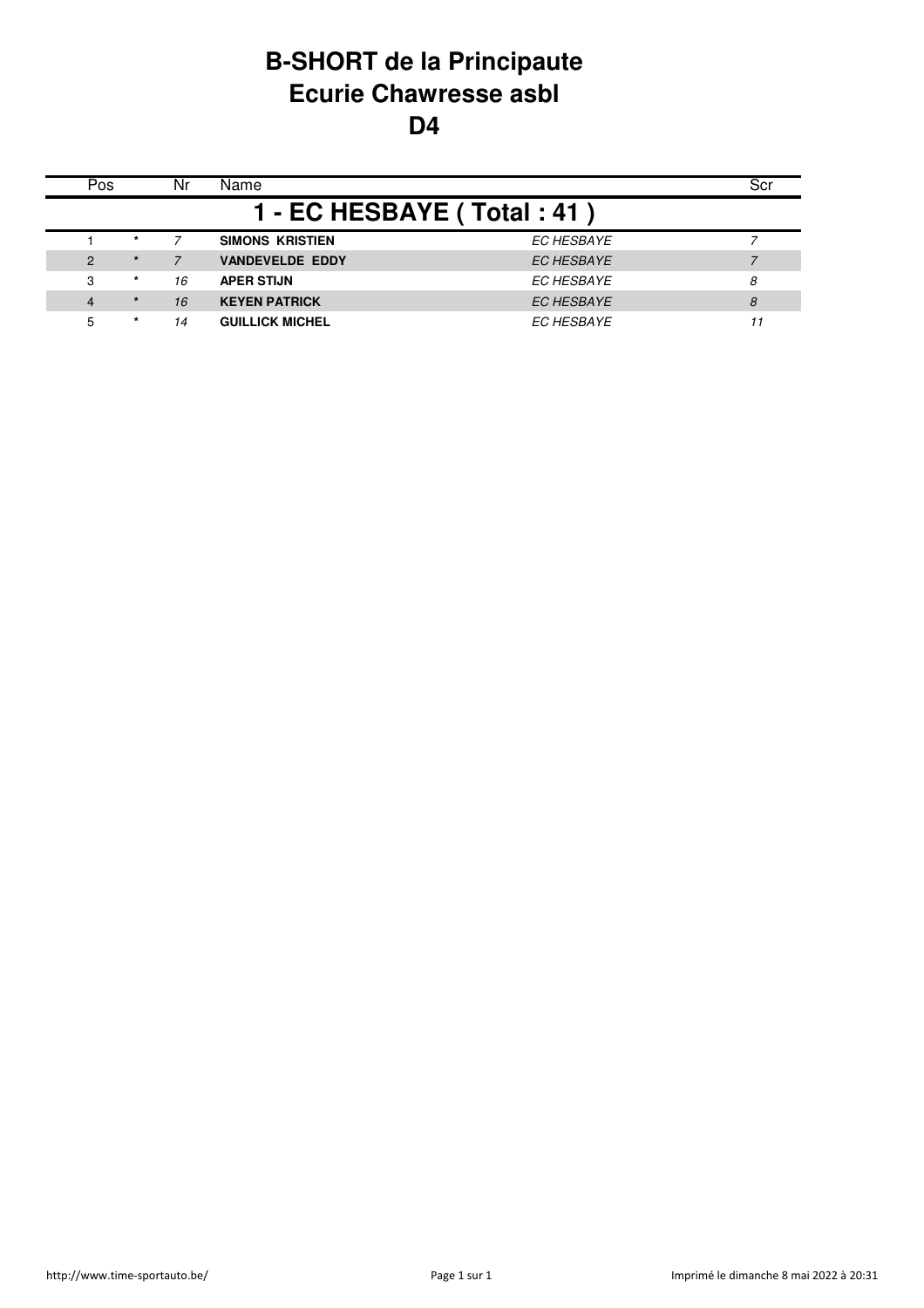#### **B-SHORT de la Principaute Ecurie Chawresse asbl D4**

| Pos            |         | Nr | Name                       |                   | Scr |
|----------------|---------|----|----------------------------|-------------------|-----|
|                |         |    | 1 - EC HESBAYE (Total: 41) |                   |     |
|                | $\star$ |    | SIMONS KRISTIEN            | <b>EC HESBAYE</b> |     |
| $\mathcal{P}$  | $\star$ |    | <b>VANDEVELDE EDDY</b>     | <b>EC HESBAYE</b> |     |
| 3              | $\star$ | 16 | <b>APER STIJN</b>          | EC HESBAYE        | 8   |
| $\overline{4}$ | $\star$ | 16 | <b>KEYEN PATRICK</b>       | <b>EC HESBAYE</b> | 8   |
| 5              | $\star$ | 14 | <b>GUILLICK MICHEL</b>     | <b>EC HESBAYE</b> |     |